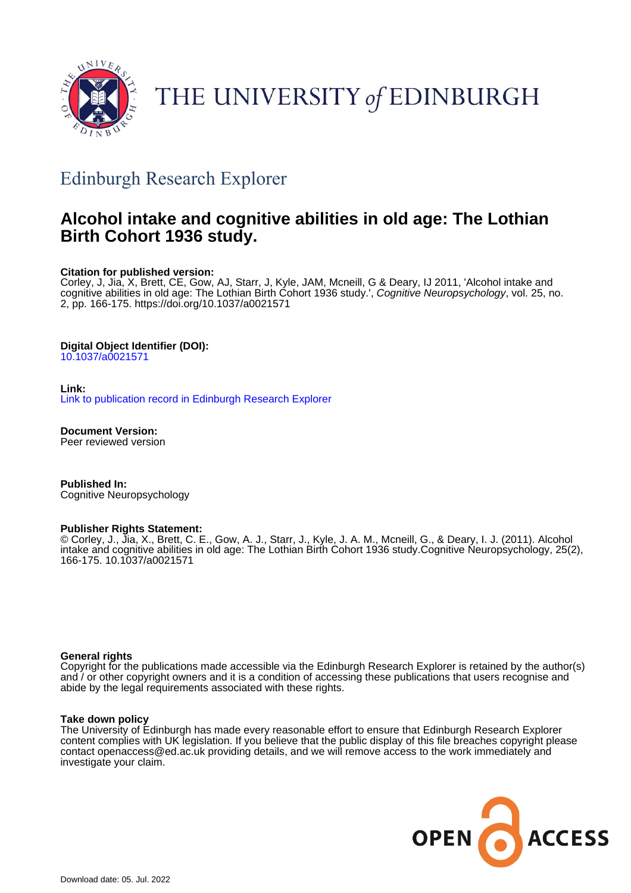

# THE UNIVERSITY of EDINBURGH

# Edinburgh Research Explorer

# **Alcohol intake and cognitive abilities in old age: The Lothian Birth Cohort 1936 study.**

#### **Citation for published version:**

Corley, J, Jia, X, Brett, CE, Gow, AJ, Starr, J, Kyle, JAM, Mcneill, G & Deary, IJ 2011, 'Alcohol intake and cognitive abilities in old age: The Lothian Birth Cohort 1936 study.', Cognitive Neuropsychology, vol. 25, no. 2, pp. 166-175.<https://doi.org/10.1037/a0021571>

#### **Digital Object Identifier (DOI):**

[10.1037/a0021571](https://doi.org/10.1037/a0021571)

#### **Link:**

[Link to publication record in Edinburgh Research Explorer](https://www.research.ed.ac.uk/en/publications/e9f5c51c-eeb2-4120-8d94-178c1e20b6b8)

**Document Version:** Peer reviewed version

**Published In:** Cognitive Neuropsychology

#### **Publisher Rights Statement:**

© Corley, J., Jia, X., Brett, C. E., Gow, A. J., Starr, J., Kyle, J. A. M., Mcneill, G., & Deary, I. J. (2011). Alcohol intake and cognitive abilities in old age: The Lothian Birth Cohort 1936 study.Cognitive Neuropsychology, 25(2), 166-175. 10.1037/a0021571

#### **General rights**

Copyright for the publications made accessible via the Edinburgh Research Explorer is retained by the author(s) and / or other copyright owners and it is a condition of accessing these publications that users recognise and abide by the legal requirements associated with these rights.

#### **Take down policy**

The University of Edinburgh has made every reasonable effort to ensure that Edinburgh Research Explorer content complies with UK legislation. If you believe that the public display of this file breaches copyright please contact openaccess@ed.ac.uk providing details, and we will remove access to the work immediately and investigate your claim.

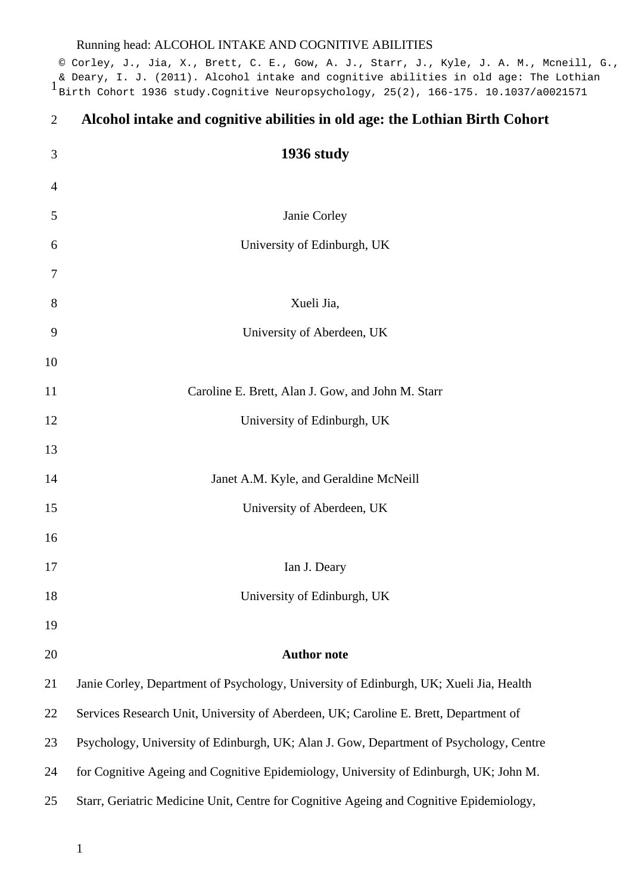& Deary, I. J. (2011). Alcohol intake and cognitive abilities in old age: The Lothian<br>1 Birth Cobert 1936 study Cognitive Neuropsychology, 25(2), 166-175, 10.1037/a0021571 © Corley, J., Jia, X., Brett, C. E., Gow, A. J., Starr, J., Kyle, J. A. M., Mcneill, G., Birth Cohort 1936 study.Cognitive Neuropsychology, 25(2), 166-175. 10.1037/a0021571

<span id="page-1-0"></span>

| 2  | Alcohol intake and cognitive abilities in old age: the Lothian Birth Cohort             |
|----|-----------------------------------------------------------------------------------------|
| 3  | 1936 study                                                                              |
| 4  |                                                                                         |
| 5  | Janie Corley                                                                            |
| 6  | University of Edinburgh, UK                                                             |
| 7  |                                                                                         |
| 8  | Xueli Jia,                                                                              |
| 9  | University of Aberdeen, UK                                                              |
| 10 |                                                                                         |
| 11 | Caroline E. Brett, Alan J. Gow, and John M. Starr                                       |
| 12 | University of Edinburgh, UK                                                             |
| 13 |                                                                                         |
| 14 | Janet A.M. Kyle, and Geraldine McNeill                                                  |
| 15 | University of Aberdeen, UK                                                              |
| 16 |                                                                                         |
| 17 | Ian J. Deary                                                                            |
| 18 | University of Edinburgh, UK                                                             |
| 19 |                                                                                         |
| 20 | <b>Author note</b>                                                                      |
| 21 | Janie Corley, Department of Psychology, University of Edinburgh, UK; Xueli Jia, Health  |
| 22 | Services Research Unit, University of Aberdeen, UK; Caroline E. Brett, Department of    |
| 23 | Psychology, University of Edinburgh, UK; Alan J. Gow, Department of Psychology, Centre  |
| 24 | for Cognitive Ageing and Cognitive Epidemiology, University of Edinburgh, UK; John M.   |
| 25 | Starr, Geriatric Medicine Unit, Centre for Cognitive Ageing and Cognitive Epidemiology, |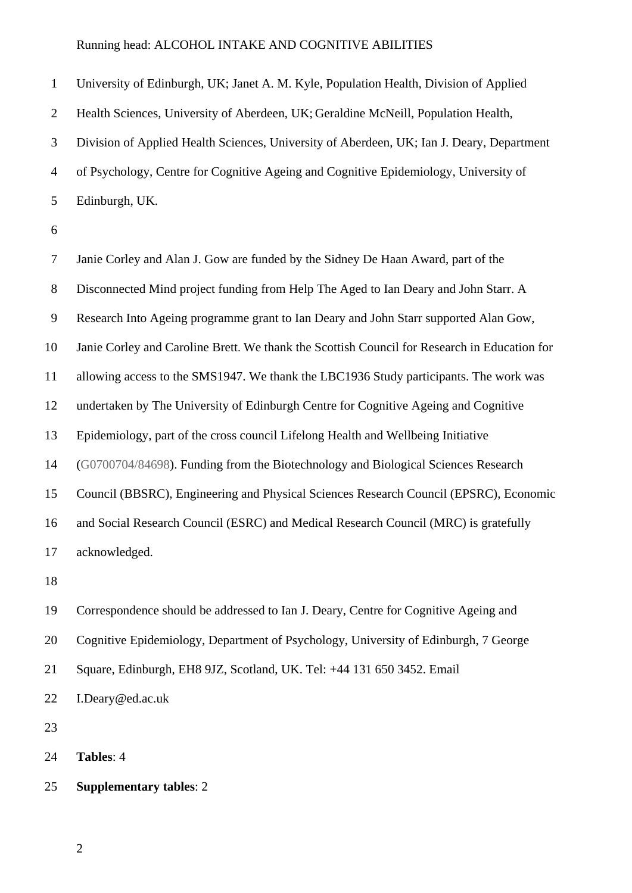University of Edinburgh, UK; Janet A. M. Kyle, Population Health, Division of Applied Health Sciences, University of Aberdeen, UK; Geraldine McNeill, Population Health, Division of Applied Health Sciences, University of Aberdeen, UK; Ian J. Deary, Department of Psychology, Centre for Cognitive Ageing and Cognitive Epidemiology, University of Edinburgh, UK.

 Janie Corley and Alan J. Gow are funded by the Sidney De Haan Award, part of the Disconnected Mind project funding from Help The Aged to Ian Deary and John Starr. A Research Into Ageing programme grant to Ian Deary and John Starr supported Alan Gow, Janie Corley and Caroline Brett. We thank the Scottish Council for Research in Education for allowing access to the SMS1947. We thank the LBC1936 Study participants. The work was undertaken by The University of Edinburgh Centre for Cognitive Ageing and Cognitive Epidemiology, part of the cross council Lifelong Health and Wellbeing Initiative (G0700704/84698). Funding from the Biotechnology and Biological Sciences Research Council (BBSRC), Engineering and Physical Sciences Research Council (EPSRC), Economic and Social Research Council (ESRC) and Medical Research Council (MRC) is gratefully acknowledged. Correspondence should be addressed to Ian J. Deary, Centre for Cognitive Ageing and Cognitive Epidemiology, Department of Psychology, University of Edinburgh, 7 George Square, Edinburgh, EH8 9JZ, Scotland, UK. Tel: +44 131 650 3452. Email

I.Deary@ed.ac.uk

**Tables**: 4

### **Supplementary tables**: 2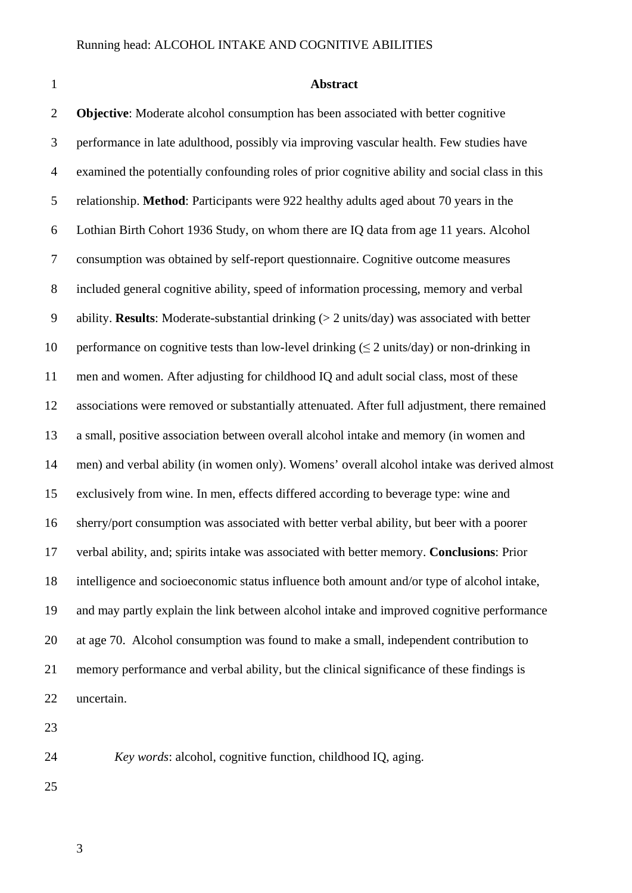#### **Abstract**

 **Objective**: Moderate alcohol consumption has been associated with better cognitive performance in late adulthood, possibly via improving vascular health. Few studies have examined the potentially confounding roles of prior cognitive ability and social class in this relationship. **Method**: Participants were 922 healthy adults aged about 70 years in the Lothian Birth Cohort 1936 Study, on whom there are IQ data from age 11 years. Alcohol consumption was obtained by self-report questionnaire. Cognitive outcome measures included general cognitive ability, speed of information processing, memory and verbal ability. **Results**: Moderate-substantial drinking (> 2 units/day) was associated with better 10 performance on cognitive tests than low-level drinking  $(52 \text{ units/day})$  or non-drinking in men and women. After adjusting for childhood IQ and adult social class, most of these associations were removed or substantially attenuated. After full adjustment, there remained a small, positive association between overall alcohol intake and memory (in women and men) and verbal ability (in women only). Womens' overall alcohol intake was derived almost exclusively from wine. In men, effects differed according to beverage type: wine and sherry/port consumption was associated with better verbal ability, but beer with a poorer verbal ability, and; spirits intake was associated with better memory. **Conclusions**: Prior intelligence and socioeconomic status influence both amount and/or type of alcohol intake, and may partly explain the link between alcohol intake and improved cognitive performance at age 70. Alcohol consumption was found to make a small, independent contribution to memory performance and verbal ability, but the clinical significance of these findings is uncertain.

*Key words*: alcohol, cognitive function, childhood IQ, aging.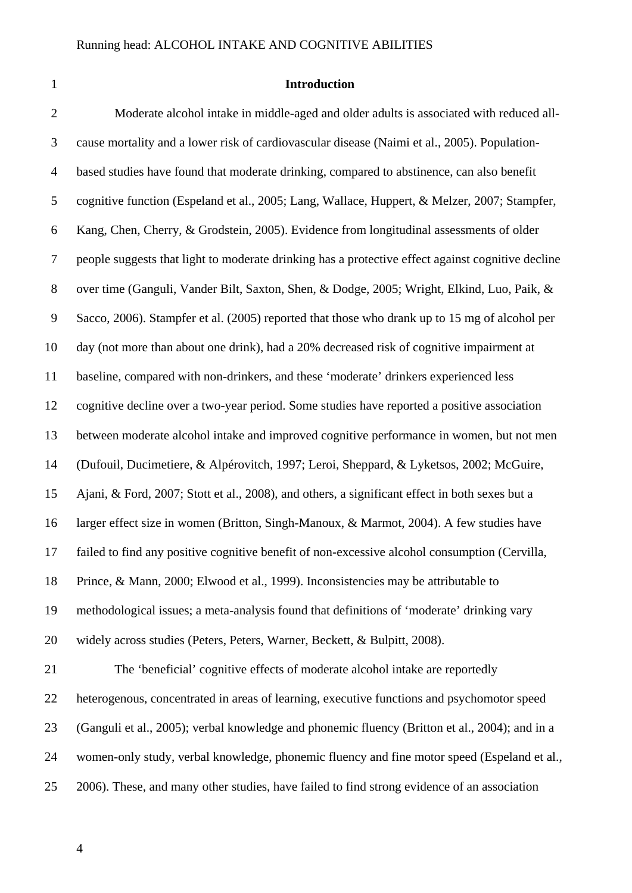#### **Introduction**

 Moderate alcohol intake in middle-aged and older adults is associated with reduced all- cause mortality and a lower risk of cardiovascular disease (Naimi et al., 2005). Population- based studies have found that moderate drinking, compared to abstinence, can also benefit cognitive function (Espeland et al., 2005; Lang, Wallace, Huppert, & Melzer, 2007; Stampfer, Kang, Chen, Cherry, & Grodstein, 2005). Evidence from longitudinal assessments of older people suggests that light to moderate drinking has a protective effect against cognitive decline over time (Ganguli, Vander Bilt, Saxton, Shen, & Dodge, 2005; Wright, Elkind, Luo, Paik, & Sacco, 2006). Stampfer et al. (2005) reported that those who drank up to 15 mg of alcohol per day (not more than about one drink), had a 20% decreased risk of cognitive impairment at baseline, compared with non-drinkers, and these 'moderate' drinkers experienced less cognitive decline over a two-year period. Some studies have reported a positive association between moderate alcohol intake and improved cognitive performance in women, but not men (Dufouil, Ducimetiere, & Alpérovitch, 1997; Leroi, Sheppard, & Lyketsos, 2002; McGuire, Ajani, & Ford, 2007; Stott et al., 2008), and others, a significant effect in both sexes but a larger effect size in women (Britton, Singh-Manoux, & Marmot, 2004). A few studies have failed to find any positive cognitive benefit of non-excessive alcohol consumption (Cervilla, Prince, & Mann, 2000; Elwood et al., 1999). Inconsistencies may be attributable to methodological issues; a meta-analysis found that definitions of 'moderate' drinking vary widely across studies (Peters, Peters, Warner, Beckett, & Bulpitt, 2008). The 'beneficial' cognitive effects of moderate alcohol intake are reportedly heterogenous, concentrated in areas of learning, executive functions and psychomotor speed (Ganguli et al., 2005); verbal knowledge and phonemic fluency (Britton et al., 2004); and in a women-only study, verbal knowledge, phonemic fluency and fine motor speed (Espeland et al.,

- 2006). These, and many other studies, have failed to find strong evidence of an association
	-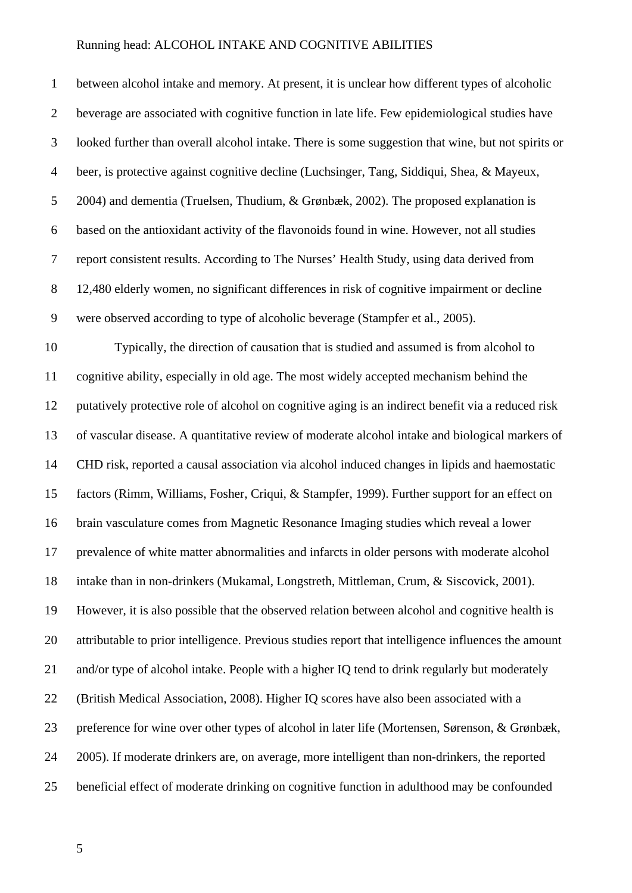between alcohol intake and memory. At present, it is unclear how different types of alcoholic beverage are associated with cognitive function in late life. Few epidemiological studies have looked further than overall alcohol intake. There is some suggestion that wine, but not spirits or beer, is protective against cognitive decline (Luchsinger, Tang, Siddiqui, Shea, & Mayeux, 2004) and dementia (Truelsen, Thudium, & Grønbæk, 2002). The proposed explanation is based on the antioxidant activity of the flavonoids found in wine. However, not all studies report consistent results. According to The Nurses' Health Study, using data derived from 12,480 elderly women, no significant differences in risk of cognitive impairment or decline were observed according to type of alcoholic beverage (Stampfer et al., 2005). Typically, the direction of causation that is studied and assumed is from alcohol to cognitive ability, especially in old age. The most widely accepted mechanism behind the putatively protective role of alcohol on cognitive aging is an indirect benefit via a reduced risk of vascular disease. A quantitative review of moderate alcohol intake and biological markers of CHD risk, reported a causal association via alcohol induced changes in lipids and haemostatic factors (Rimm, Williams, Fosher, Criqui, & Stampfer, 1999). Further support for an effect on brain vasculature comes from Magnetic Resonance Imaging studies which reveal a lower prevalence of white matter abnormalities and infarcts in older persons with moderate alcohol intake than in non-drinkers (Mukamal, Longstreth, Mittleman, Crum, & Siscovick, 2001). However, it is also possible that the observed relation between alcohol and cognitive health is attributable to prior intelligence. Previous studies report that intelligence influences the amount 21 and/or type of alcohol intake. People with a higher IQ tend to drink regularly but moderately (British Medical Association, 2008). Higher IQ scores have also been associated with a preference for wine over other types of alcohol in later life (Mortensen, Sørenson, & Grønbæk, 2005). If moderate drinkers are, on average, more intelligent than non-drinkers, the reported beneficial effect of moderate drinking on cognitive function in adulthood may be confounded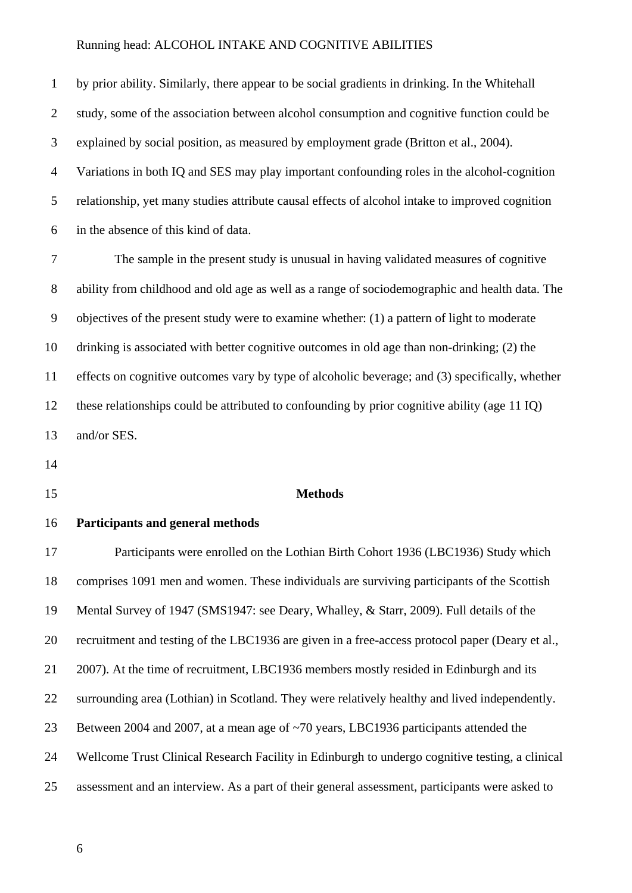by prior ability. Similarly, there appear to be social gradients in drinking. In the Whitehall study, some of the association between alcohol consumption and cognitive function could be explained by social position, as measured by employment grade (Britton et al., 2004). Variations in both IQ and SES may play important confounding roles in the alcohol-cognition relationship, yet many studies attribute causal effects of alcohol intake to improved cognition in the absence of this kind of data.

 The sample in the present study is unusual in having validated measures of cognitive ability from childhood and old age as well as a range of sociodemographic and health data. The objectives of the present study were to examine whether: (1) a pattern of light to moderate drinking is associated with better cognitive outcomes in old age than non-drinking; (2) the effects on cognitive outcomes vary by type of alcoholic beverage; and (3) specifically, whether these relationships could be attributed to confounding by prior cognitive ability (age 11 IQ) and/or SES.

- 
- 

#### **Methods**

#### **Participants and general methods**

 Participants were enrolled on the Lothian Birth Cohort 1936 (LBC1936) Study which comprises 1091 men and women. These individuals are surviving participants of the Scottish Mental Survey of 1947 (SMS1947: see Deary, Whalley, & Starr, 2009). Full details of the recruitment and testing of the LBC1936 are given in a free-access protocol paper (Deary et al., 2007). At the time of recruitment, LBC1936 members mostly resided in Edinburgh and its surrounding area (Lothian) in Scotland. They were relatively healthy and lived independently. Between 2004 and 2007, at a mean age of ~70 years, LBC1936 participants attended the Wellcome Trust Clinical Research Facility in Edinburgh to undergo cognitive testing, a clinical assessment and an interview. As a part of their general assessment, participants were asked to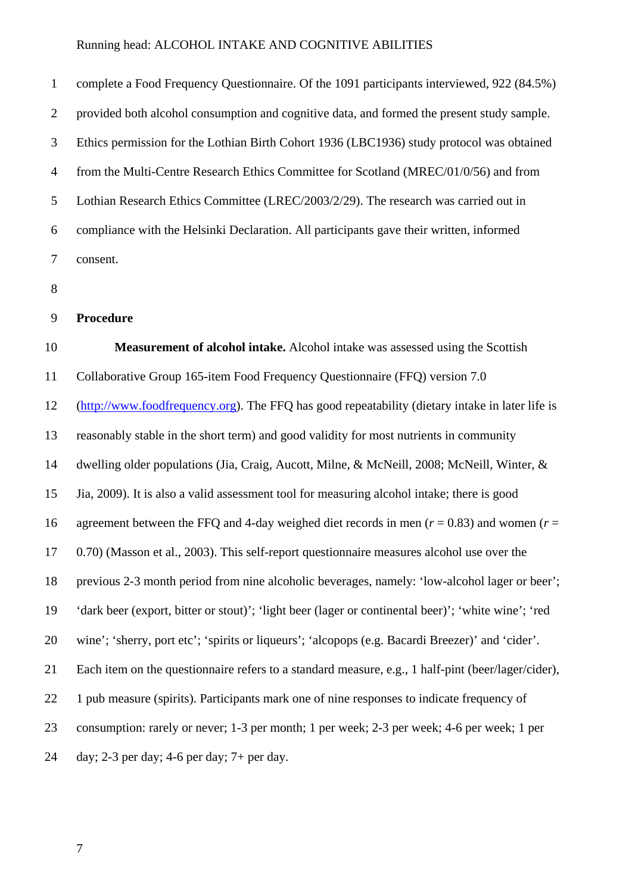complete a Food Frequency Questionnaire. Of the 1091 participants interviewed, 922 (84.5%) provided both alcohol consumption and cognitive data, and formed the present study sample. Ethics permission for the Lothian Birth Cohort 1936 (LBC1936) study protocol was obtained from the Multi-Centre Research Ethics Committee for Scotland (MREC/01/0/56) and from Lothian Research Ethics Committee (LREC/2003/2/29). The research was carried out in compliance with the Helsinki Declaration. All participants gave their written, informed consent.

#### **Procedure**

**Measurement of alcohol intake.** Alcohol intake was assessed using the Scottish

Collaborative Group 165-item Food Frequency Questionnaire (FFQ) version 7.0

[\(http://www.foodfrequency.org\)](http://www.foodfrequency.org/). The FFQ has good repeatability (dietary intake in later life is

reasonably stable in the short term) and good validity for most nutrients in community

dwelling older populations (Jia, Craig, Aucott, Milne, & McNeill, 2008; McNeill, Winter, &

Jia, 2009). It is also a valid assessment tool for measuring alcohol intake; there is good

16 agreement between the FFO and 4-day weighed diet records in men  $(r = 0.83)$  and women  $(r = 1.83)$ 

0.70) (Masson et al., 2003). This self-report questionnaire measures alcohol use over the

previous 2-3 month period from nine alcoholic beverages, namely: 'low-alcohol lager or beer';

'dark beer (export, bitter or stout)'; 'light beer (lager or continental beer)'; 'white wine'; 'red

wine'; 'sherry, port etc'; 'spirits or liqueurs'; 'alcopops (e.g. Bacardi Breezer)' and 'cider'.

Each item on the questionnaire refers to a standard measure, e.g., 1 half-pint (beer/lager/cider),

22 1 pub measure (spirits). Participants mark one of nine responses to indicate frequency of

consumption: rarely or never; 1-3 per month; 1 per week; 2-3 per week; 4-6 per week; 1 per

day; 2-3 per day; 4-6 per day; 7+ per day.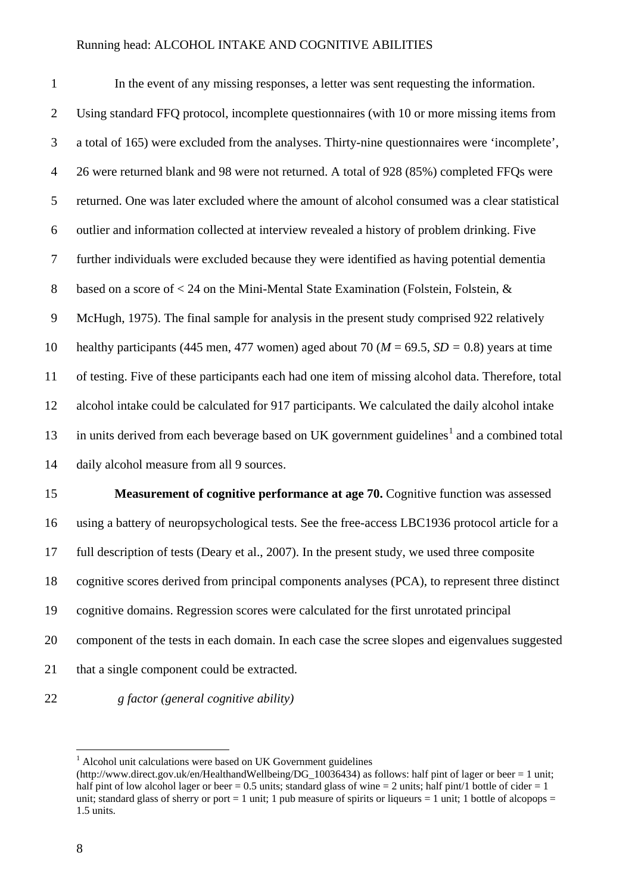In the event of any missing responses, a letter was sent requesting the information. Using standard FFQ protocol, incomplete questionnaires (with 10 or more missing items from a total of 165) were excluded from the analyses. Thirty-nine questionnaires were 'incomplete', 26 were returned blank and 98 were not returned. A total of 928 (85%) completed FFQs were returned. One was later excluded where the amount of alcohol consumed was a clear statistical outlier and information collected at interview revealed a history of problem drinking. Five further individuals were excluded because they were identified as having potential dementia based on a score of < 24 on the Mini-Mental State Examination (Folstein, Folstein, & McHugh, 1975). The final sample for analysis in the present study comprised 922 relatively 10 healthy participants (445 men, 477 women) aged about 70 ( $M = 69.5$ ,  $SD = 0.8$ ) years at time of testing. Five of these participants each had one item of missing alcohol data. Therefore, total alcohol intake could be calculated for 917 participants. We calculated the daily alcohol intake 3 in units derived from each beverage based on UK government guidelines<sup>1</sup> and a combined total daily alcohol measure from all 9 sources.

 **Measurement of cognitive performance at age 70.** Cognitive function was assessed using a battery of neuropsychological tests. See the free-access LBC1936 protocol article for a full description of tests (Deary et al., 2007). In the present study, we used three composite cognitive scores derived from principal components analyses (PCA), to represent three distinct cognitive domains. Regression scores were calculated for the first unrotated principal component of the tests in each domain. In each case the scree slopes and eigenvalues suggested 21 that a single component could be extracted.

*g factor (general cognitive ability)*

Alcohol unit calculations were based on UK Government guidelines

<span id="page-8-0"></span><sup>(</sup>http://www.direct.gov.uk/en/HealthandWellbeing/DG\_10036434) as follows: half pint of lager or beer = 1 unit; half pint of low alcohol lager or beer = 0.5 units; standard glass of wine = 2 units; half pint/1 bottle of cider = 1 unit; standard glass of sherry or port  $= 1$  unit; 1 pub measure of spirits or liqueurs  $= 1$  unit; 1 bottle of alcopops  $=$ 1.5 units.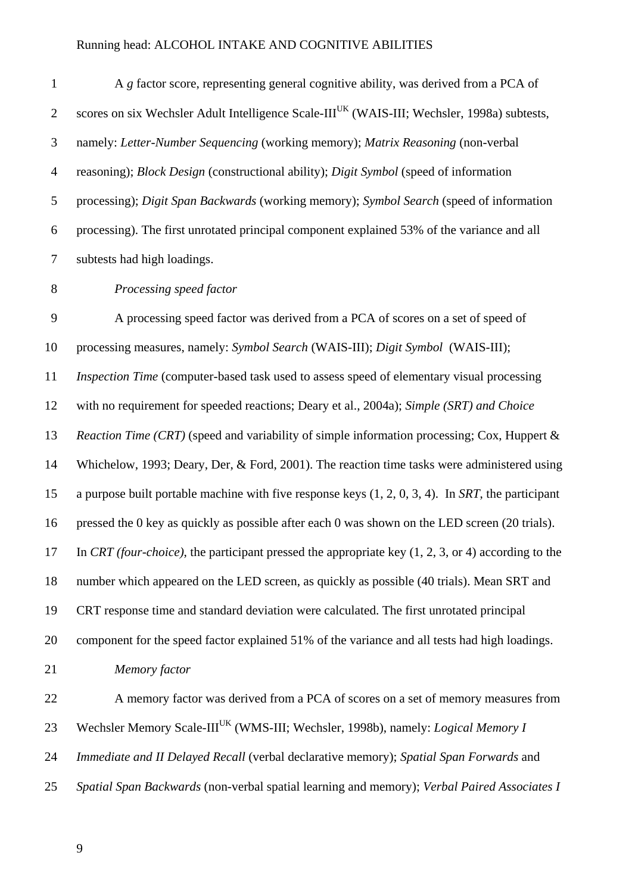1 A *g* factor score, representing general cognitive ability, was derived from a PCA of 2 scores on six Wechsler Adult Intelligence Scale-III<sup>UK</sup> (WAIS-III; Wechsler, 1998a) subtests, namely: *Letter-Number Sequencing* (working memory); *Matrix Reasoning* (non-verbal reasoning); *Block Design* (constructional ability); *Digit Symbol* (speed of information processing); *Digit Span Backwards* (working memory); *Symbol Search* (speed of information processing). The first unrotated principal component explained 53% of the variance and all subtests had high loadings.

*Processing speed factor*

 A processing speed factor was derived from a PCA of scores on a set of speed of processing measures, namely: *Symbol Search* (WAIS-III); *Digit Symbol* (WAIS-III); *Inspection Time* (computer-based task used to assess speed of elementary visual processing with no requirement for speeded reactions; Deary et al., 2004a); *Simple (SRT) and Choice Reaction Time (CRT)* (speed and variability of simple information processing; Cox, Huppert & Whichelow, 1993; Deary, Der, & Ford, 2001). The reaction time tasks were administered using a purpose built portable machine with five response keys (1, 2, 0, 3, 4). In *SRT*, the participant pressed the 0 key as quickly as possible after each 0 was shown on the LED screen (20 trials). In *CRT (four-choice)*, the participant pressed the appropriate key (1, 2, 3, or 4) according to the number which appeared on the LED screen, as quickly as possible (40 trials). Mean SRT and CRT response time and standard deviation were calculated. The first unrotated principal component for the speed factor explained 51% of the variance and all tests had high loadings. *Memory factor* A memory factor was derived from a PCA of scores on a set of memory measures from 23 Wechsler Memory Scale-III<sup>UK</sup> (WMS-III; Wechsler, 1998b), namely: *Logical Memory I* 

*Immediate and II Delayed Recall* (verbal declarative memory); *Spatial Span Forwards* and

*Spatial Span Backwards* (non-verbal spatial learning and memory); *Verbal Paired Associates I*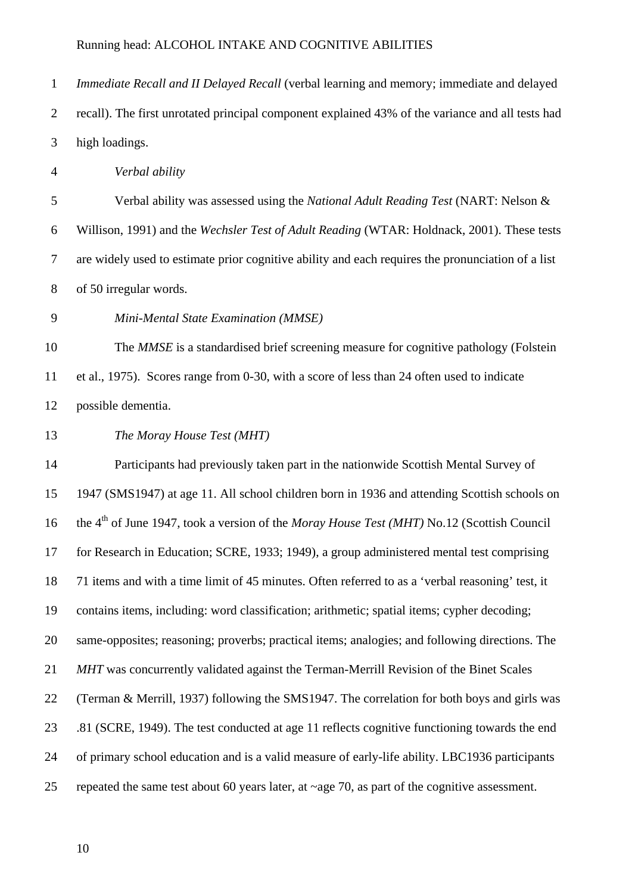*Immediate Recall and II Delayed Recall* (verbal learning and memory; immediate and delayed recall). The first unrotated principal component explained 43% of the variance and all tests had high loadings.

*Verbal ability*

 Verbal ability was assessed using the *National Adult Reading Test* (NART: Nelson & Willison, 1991) and the *Wechsler Test of Adult Reading* (WTAR: Holdnack, 2001). These tests are widely used to estimate prior cognitive ability and each requires the pronunciation of a list of 50 irregular words.

*Mini-Mental State Examination (MMSE)*

 The *MMSE* is a standardised brief screening measure for cognitive pathology (Folstein et al., 1975). Scores range from 0-30, with a score of less than 24 often used to indicate possible dementia.

*The Moray House Test (MHT)*

 Participants had previously taken part in the nationwide Scottish Mental Survey of 1947 (SMS1947) at age 11. All school children born in 1936 and attending Scottish schools on the 4th of June 1947, took a version of the *Moray House Test (MHT)* No.12 (Scottish Council for Research in Education; SCRE, 1933; 1949), a group administered mental test comprising 71 items and with a time limit of 45 minutes. Often referred to as a 'verbal reasoning' test, it contains items, including: word classification; arithmetic; spatial items; cypher decoding; same-opposites; reasoning; proverbs; practical items; analogies; and following directions. The *MHT* was concurrently validated against the Terman-Merrill Revision of the Binet Scales (Terman & Merrill, 1937) following the SMS1947. The correlation for both boys and girls was .81 (SCRE, 1949). The test conducted at age 11 reflects cognitive functioning towards the end of primary school education and is a valid measure of early-life ability. LBC1936 participants repeated the same test about 60 years later, at ~age 70, as part of the cognitive assessment.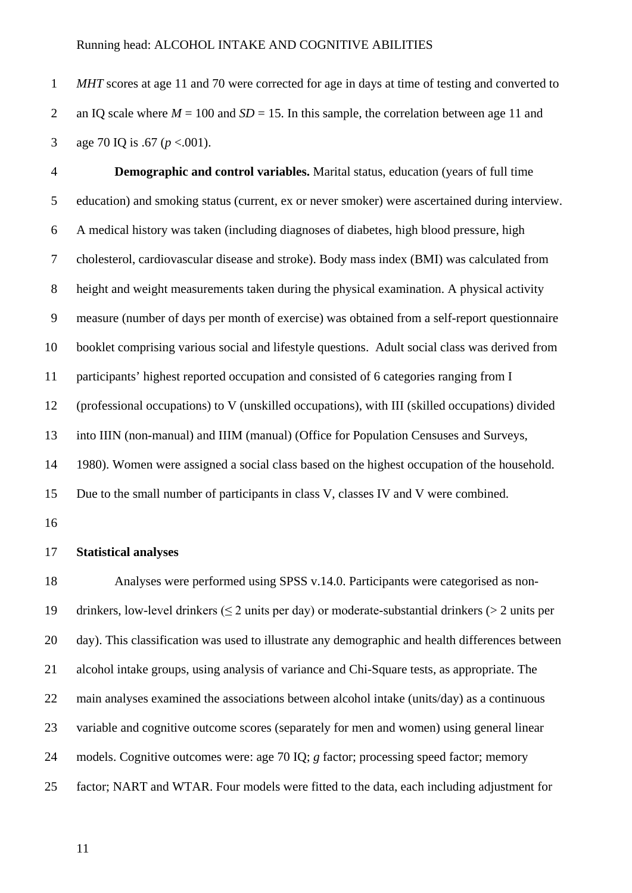*MHT* scores at age 11 and 70 were corrected for age in days at time of testing and converted to 2 an IQ scale where  $M = 100$  and  $SD = 15$ . In this sample, the correlation between age 11 and age 70 IQ is .67 (*p* <.001).

 **Demographic and control variables.** Marital status, education (years of full time education) and smoking status (current, ex or never smoker) were ascertained during interview. A medical history was taken (including diagnoses of diabetes, high blood pressure, high cholesterol, cardiovascular disease and stroke). Body mass index (BMI) was calculated from height and weight measurements taken during the physical examination. A physical activity measure (number of days per month of exercise) was obtained from a self-report questionnaire booklet comprising various social and lifestyle questions. Adult social class was derived from participants' highest reported occupation and consisted of 6 categories ranging from I (professional occupations) to V (unskilled occupations), with III (skilled occupations) divided into IIIN (non-manual) and IIIM (manual) (Office for Population Censuses and Surveys, 1980). Women were assigned a social class based on the highest occupation of the household. Due to the small number of participants in class V, classes IV and V were combined. **Statistical analyses**

 Analyses were performed using SPSS v.14.0. Participants were categorised as non-19 drinkers, low-level drinkers ( $\leq$  2 units per day) or moderate-substantial drinkers ( $>$  2 units per day). This classification was used to illustrate any demographic and health differences between alcohol intake groups, using analysis of variance and Chi-Square tests, as appropriate. The main analyses examined the associations between alcohol intake (units/day) as a continuous variable and cognitive outcome scores (separately for men and women) using general linear models. Cognitive outcomes were: age 70 IQ; *g* factor; processing speed factor; memory factor; NART and WTAR. Four models were fitted to the data, each including adjustment for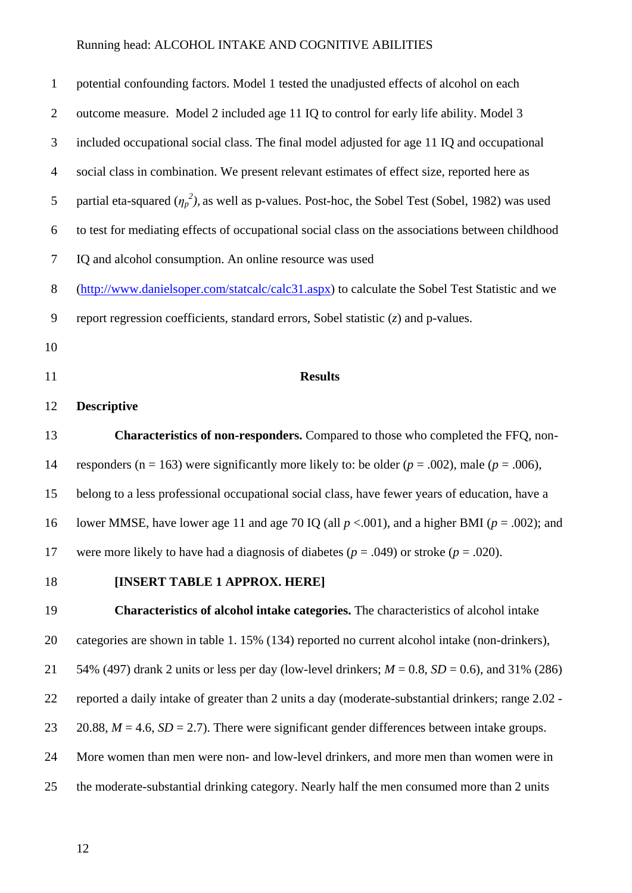| $\mathbf{1}$   | potential confounding factors. Model 1 tested the unadjusted effects of alcohol on each                 |
|----------------|---------------------------------------------------------------------------------------------------------|
| $\overline{2}$ | outcome measure. Model 2 included age 11 IQ to control for early life ability. Model 3                  |
| 3              | included occupational social class. The final model adjusted for age 11 IQ and occupational             |
| $\overline{4}$ | social class in combination. We present relevant estimates of effect size, reported here as             |
| 5              | partial eta-squared $(\eta_p^2)$ , as well as p-values. Post-hoc, the Sobel Test (Sobel, 1982) was used |
| 6              | to test for mediating effects of occupational social class on the associations between childhood        |
| 7              | IQ and alcohol consumption. An online resource was used                                                 |
| 8              | (http://www.danielsoper.com/statcalc/calc31.aspx) to calculate the Sobel Test Statistic and we          |
| 9              | report regression coefficients, standard errors, Sobel statistic $(z)$ and p-values.                    |
| 10             |                                                                                                         |
| 11             | <b>Results</b>                                                                                          |
| 12             | <b>Descriptive</b>                                                                                      |
| 13             | <b>Characteristics of non-responders.</b> Compared to those who completed the FFQ, non-                 |
| 14             | responders (n = 163) were significantly more likely to: be older ( $p = .002$ ), male ( $p = .006$ ),   |
| 15             | belong to a less professional occupational social class, have fewer years of education, have a          |
| 16             | lower MMSE, have lower age 11 and age 70 IQ (all $p < .001$ ), and a higher BMI ( $p = .002$ ); and     |
| 17             | were more likely to have had a diagnosis of diabetes ( $p = .049$ ) or stroke ( $p = .020$ ).           |
| 18             | [INSERT TABLE 1 APPROX. HERE]                                                                           |
| 19             | Characteristics of alcohol intake categories. The characteristics of alcohol intake                     |
| 20             | categories are shown in table 1.15% (134) reported no current alcohol intake (non-drinkers),            |
| 21             | 54% (497) drank 2 units or less per day (low-level drinkers; $M = 0.8$ , $SD = 0.6$ ), and 31% (286)    |
| 22             | reported a daily intake of greater than 2 units a day (moderate-substantial drinkers; range 2.02 -      |
| 23             | 20.88, $M = 4.6$ , $SD = 2.7$ ). There were significant gender differences between intake groups.       |
| 24             | More women than men were non- and low-level drinkers, and more men than women were in                   |
| 25             | the moderate-substantial drinking category. Nearly half the men consumed more than 2 units              |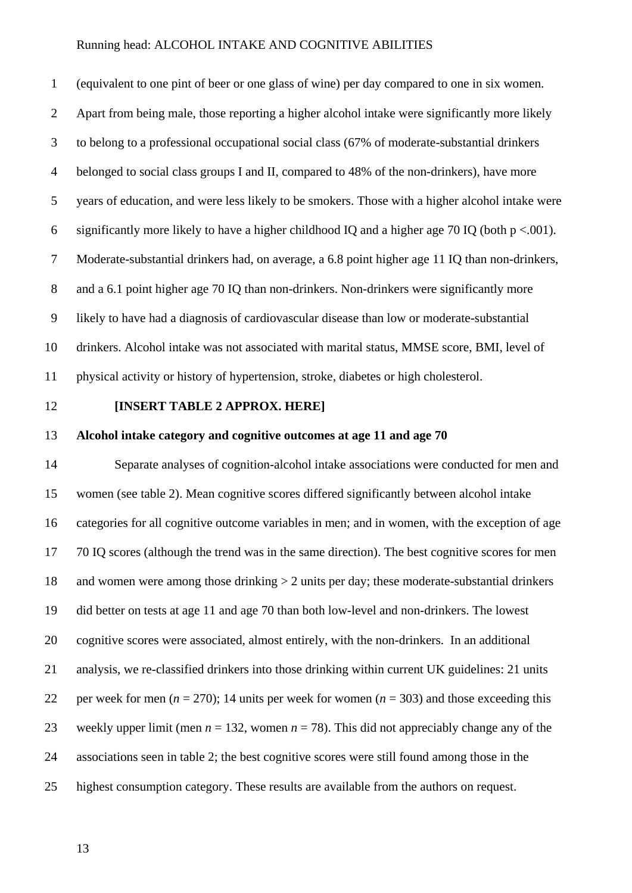(equivalent to one pint of beer or one glass of wine) per day compared to one in six women. Apart from being male, those reporting a higher alcohol intake were significantly more likely to belong to a professional occupational social class (67% of moderate-substantial drinkers belonged to social class groups I and II, compared to 48% of the non-drinkers), have more years of education, and were less likely to be smokers. Those with a higher alcohol intake were 6 significantly more likely to have a higher childhood IQ and a higher age 70 IQ (both  $p < .001$ ). Moderate-substantial drinkers had, on average, a 6.8 point higher age 11 IQ than non-drinkers, and a 6.1 point higher age 70 IQ than non-drinkers. Non-drinkers were significantly more likely to have had a diagnosis of cardiovascular disease than low or moderate-substantial drinkers. Alcohol intake was not associated with marital status, MMSE score, BMI, level of physical activity or history of hypertension, stroke, diabetes or high cholesterol.

#### **[INSERT TABLE 2 APPROX. HERE]**

#### **Alcohol intake category and cognitive outcomes at age 11 and age 70**

 Separate analyses of cognition-alcohol intake associations were conducted for men and women (see table 2). Mean cognitive scores differed significantly between alcohol intake categories for all cognitive outcome variables in men; and in women, with the exception of age 70 IQ scores (although the trend was in the same direction). The best cognitive scores for men and women were among those drinking > 2 units per day; these moderate-substantial drinkers did better on tests at age 11 and age 70 than both low-level and non-drinkers. The lowest cognitive scores were associated, almost entirely, with the non-drinkers. In an additional analysis, we re-classified drinkers into those drinking within current UK guidelines: 21 units 22 per week for men  $(n = 270)$ ; 14 units per week for women  $(n = 303)$  and those exceeding this 23 weekly upper limit (men  $n = 132$ , women  $n = 78$ ). This did not appreciably change any of the associations seen in table 2; the best cognitive scores were still found among those in the highest consumption category. These results are available from the authors on request.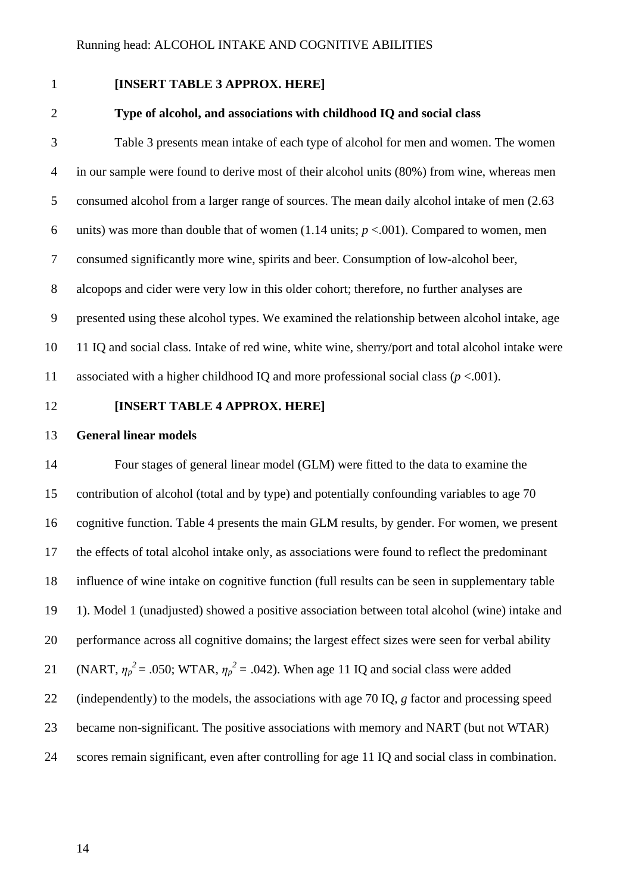#### **[INSERT TABLE 3 APPROX. HERE]**

#### **Type of alcohol, and associations with childhood IQ and social class**

 Table 3 presents mean intake of each type of alcohol for men and women. The women in our sample were found to derive most of their alcohol units (80%) from wine, whereas men consumed alcohol from a larger range of sources. The mean daily alcohol intake of men (2.63 6 units) was more than double that of women  $(1.14 \text{ units}; p \lt 0.001)$ . Compared to women, men consumed significantly more wine, spirits and beer. Consumption of low-alcohol beer, alcopops and cider were very low in this older cohort; therefore, no further analyses are presented using these alcohol types. We examined the relationship between alcohol intake, age 11 IQ and social class. Intake of red wine, white wine, sherry/port and total alcohol intake were 11 associated with a higher childhood IQ and more professional social class  $(p < .001)$ .

#### **[INSERT TABLE 4 APPROX. HERE]**

#### **General linear models**

 Four stages of general linear model (GLM) were fitted to the data to examine the contribution of alcohol (total and by type) and potentially confounding variables to age 70 cognitive function. Table 4 presents the main GLM results, by gender. For women, we present the effects of total alcohol intake only, as associations were found to reflect the predominant influence of wine intake on cognitive function (full results can be seen in supplementary table 1). Model 1 (unadjusted) showed a positive association between total alcohol (wine) intake and performance across all cognitive domains; the largest effect sizes were seen for verbal ability 21 (NART,  $\eta_p^2 = .050$ ; WTAR,  $\eta_p^2 = .042$ ). When age 11 IQ and social class were added (independently) to the models, the associations with age 70 IQ, *g* factor and processing speed became non-significant. The positive associations with memory and NART (but not WTAR) scores remain significant, even after controlling for age 11 IQ and social class in combination.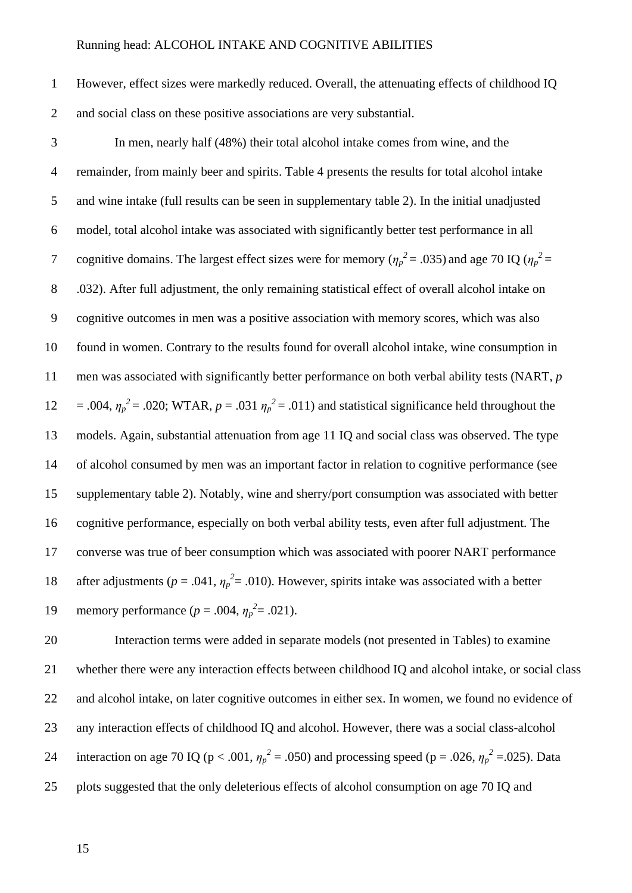However, effect sizes were markedly reduced. Overall, the attenuating effects of childhood IQ and social class on these positive associations are very substantial.

 In men, nearly half (48%) their total alcohol intake comes from wine, and the remainder, from mainly beer and spirits. Table 4 presents the results for total alcohol intake and wine intake (full results can be seen in supplementary table 2). In the initial unadjusted model, total alcohol intake was associated with significantly better test performance in all cognitive domains. The largest effect sizes were for memory ( $\eta_p^2 = .035$ ) and age 70 IQ ( $\eta_p^2 =$  .032). After full adjustment, the only remaining statistical effect of overall alcohol intake on cognitive outcomes in men was a positive association with memory scores, which was also found in women. Contrary to the results found for overall alcohol intake, wine consumption in men was associated with significantly better performance on both verbal ability tests (NART, *p* 12 = .004,  $\eta_p^2$  = .020; WTAR,  $p = .031 \eta_p^2 = .011$ ) and statistical significance held throughout the models. Again, substantial attenuation from age 11 IQ and social class was observed. The type of alcohol consumed by men was an important factor in relation to cognitive performance (see supplementary table 2). Notably, wine and sherry/port consumption was associated with better cognitive performance, especially on both verbal ability tests, even after full adjustment. The converse was true of beer consumption which was associated with poorer NART performance 18 after adjustments ( $p = .041$ ,  $\eta_p^2 = .010$ ). However, spirits intake was associated with a better 19 memory performance ( $p = .004$ ,  $\eta_p^2 = .021$ ).

 Interaction terms were added in separate models (not presented in Tables) to examine whether there were any interaction effects between childhood IQ and alcohol intake, or social class 22 and alcohol intake, on later cognitive outcomes in either sex. In women, we found no evidence of any interaction effects of childhood IQ and alcohol. However, there was a social class-alcohol 24 interaction on age 70 IQ ( $p < .001$ ,  $\eta_p^2 = .050$ ) and processing speed ( $p = .026$ ,  $\eta_p^2 = .025$ ). Data plots suggested that the only deleterious effects of alcohol consumption on age 70 IQ and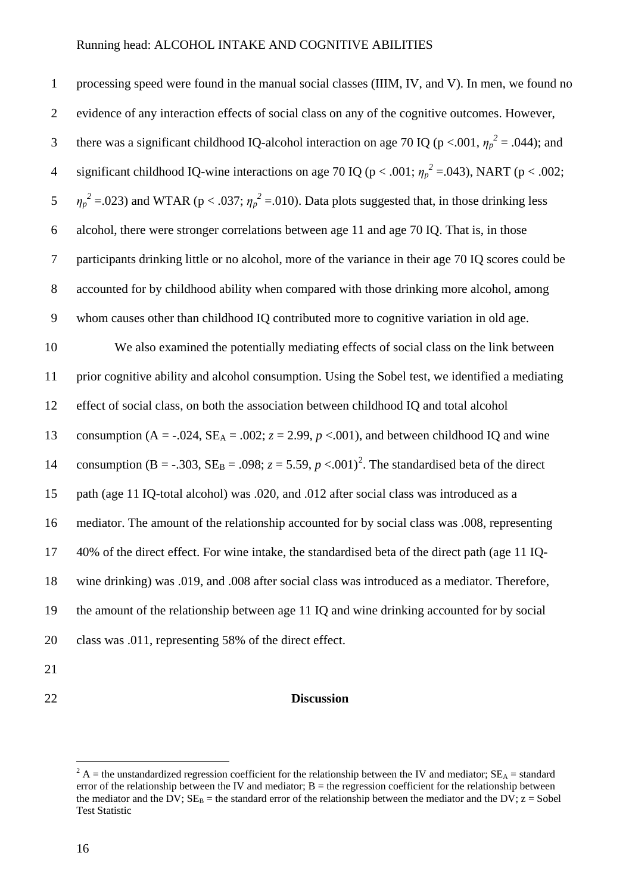processing speed were found in the manual social classes (IIIM, IV, and V). In men, we found no evidence of any interaction effects of social class on any of the cognitive outcomes. However, there was a significant childhood IQ-alcohol interaction on age 70 IQ ( $p < .001$ ,  $\eta_p^2 = .044$ ); and 4 significant childhood IQ-wine interactions on age 70 IQ ( $p < .001$ ;  $\eta_p^2 = .043$ ), NART ( $p < .002$ ; *n*<sub>*p*</sub><sup>2</sup> = .023) and WTAR ( $p < .037$ ;  $\eta_p^2$  = .010). Data plots suggested that, in those drinking less alcohol, there were stronger correlations between age 11 and age 70 IQ. That is, in those participants drinking little or no alcohol, more of the variance in their age 70 IQ scores could be accounted for by childhood ability when compared with those drinking more alcohol, among whom causes other than childhood IQ contributed more to cognitive variation in old age. We also examined the potentially mediating effects of social class on the link between prior cognitive ability and alcohol consumption. Using the Sobel test, we identified a mediating effect of social class, on both the association between childhood IQ and total alcohol 13 consumption  $(A = -0.024, SE<sub>A</sub> = 0.002; z = 2.99, p < 0.001)$ , and between childhood IQ and wine 14 consumption (B = -.303,  $SE_B = .098$ ;  $z = 5.59$ ,  $p < .001$ )<sup>[2](#page-8-0)</sup>. The standardised beta of the direct path (age 11 IQ-total alcohol) was .020, and .012 after social class was introduced as a mediator. The amount of the relationship accounted for by social class was .008, representing 40% of the direct effect. For wine intake, the standardised beta of the direct path (age 11 IQ- wine drinking) was .019, and .008 after social class was introduced as a mediator. Therefore, the amount of the relationship between age 11 IQ and wine drinking accounted for by social class was .011, representing 58% of the direct effect.

- 
- 

#### **Discussion**

<sup>&</sup>lt;sup>2</sup> A = the unstandardized regression coefficient for the relationship between the IV and mediator;  $SE_0$  = standard error of the relationship between the IV and mediator;  $B =$  the regression coefficient for the relationship between the mediator and the DV;  $SE_B$  = the standard error of the relationship between the mediator and the DV;  $z = Sobel$ Test Statistic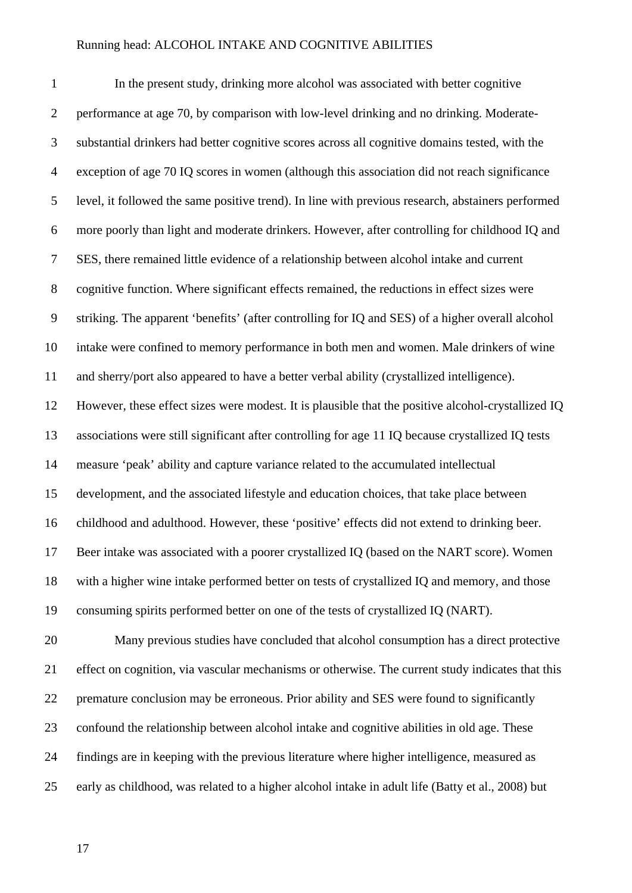In the present study, drinking more alcohol was associated with better cognitive performance at age 70, by comparison with low-level drinking and no drinking. Moderate- substantial drinkers had better cognitive scores across all cognitive domains tested, with the exception of age 70 IQ scores in women (although this association did not reach significance level, it followed the same positive trend). In line with previous research, abstainers performed more poorly than light and moderate drinkers. However, after controlling for childhood IQ and SES, there remained little evidence of a relationship between alcohol intake and current cognitive function. Where significant effects remained, the reductions in effect sizes were striking. The apparent 'benefits' (after controlling for IQ and SES) of a higher overall alcohol intake were confined to memory performance in both men and women. Male drinkers of wine and sherry/port also appeared to have a better verbal ability (crystallized intelligence). However, these effect sizes were modest. It is plausible that the positive alcohol-crystallized IQ associations were still significant after controlling for age 11 IQ because crystallized IQ tests measure 'peak' ability and capture variance related to the accumulated intellectual development, and the associated lifestyle and education choices, that take place between childhood and adulthood. However, these 'positive' effects did not extend to drinking beer. Beer intake was associated with a poorer crystallized IQ (based on the NART score). Women with a higher wine intake performed better on tests of crystallized IQ and memory, and those consuming spirits performed better on one of the tests of crystallized IQ (NART). Many previous studies have concluded that alcohol consumption has a direct protective

 effect on cognition, via vascular mechanisms or otherwise. The current study indicates that this premature conclusion may be erroneous. Prior ability and SES were found to significantly confound the relationship between alcohol intake and cognitive abilities in old age. These findings are in keeping with the previous literature where higher intelligence, measured as early as childhood, was related to a higher alcohol intake in adult life (Batty et al., 2008) but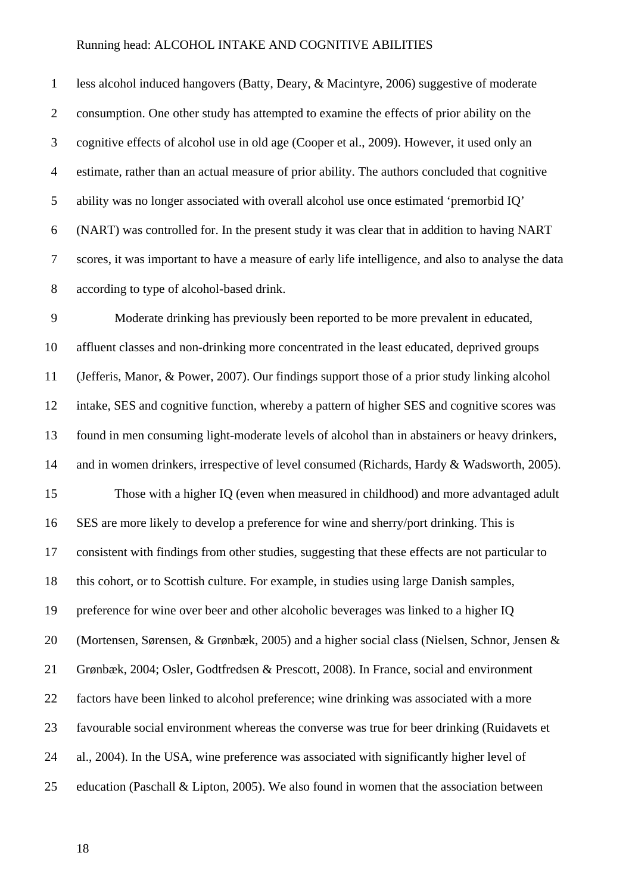less alcohol induced hangovers (Batty, Deary, & Macintyre, 2006) suggestive of moderate consumption. One other study has attempted to examine the effects of prior ability on the cognitive effects of alcohol use in old age (Cooper et al., 2009). However, it used only an estimate, rather than an actual measure of prior ability. The authors concluded that cognitive ability was no longer associated with overall alcohol use once estimated 'premorbid IQ' (NART) was controlled for. In the present study it was clear that in addition to having NART scores, it was important to have a measure of early life intelligence, and also to analyse the data according to type of alcohol-based drink.

 Moderate drinking has previously been reported to be more prevalent in educated, affluent classes and non-drinking more concentrated in the least educated, deprived groups (Jefferis, Manor, & Power, 2007). Our findings support those of a prior study linking alcohol intake, SES and cognitive function, whereby a pattern of higher SES and cognitive scores was found in men consuming light-moderate levels of alcohol than in abstainers or heavy drinkers, and in women drinkers, irrespective of level consumed (Richards, Hardy & Wadsworth, 2005). Those with a higher IQ (even when measured in childhood) and more advantaged adult SES are more likely to develop a preference for wine and sherry/port drinking. This is consistent with findings from other studies, suggesting that these effects are not particular to this cohort, or to Scottish culture. For example, in studies using large Danish samples, preference for wine over beer and other alcoholic beverages was linked to a higher IQ (Mortensen, Sørensen, & Grønbæk, 2005) and a higher social class (Nielsen, Schnor, Jensen & Grønbæk, 2004; Osler, Godtfredsen & Prescott, 2008). In France, social and environment factors have been linked to alcohol preference; wine drinking was associated with a more favourable social environment whereas the converse was true for beer drinking (Ruidavets et al., 2004). In the USA, wine preference was associated with significantly higher level of education (Paschall & Lipton, 2005). We also found in women that the association between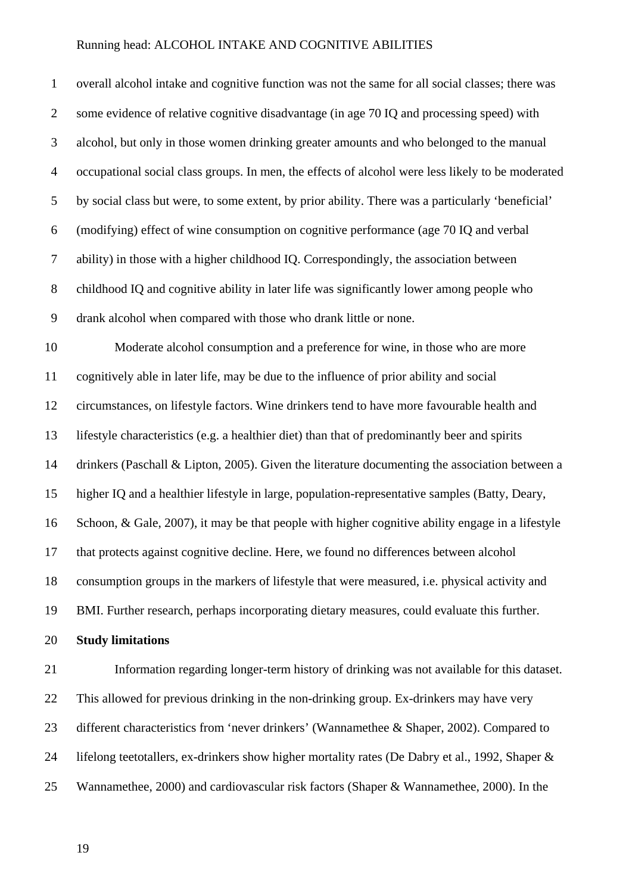overall alcohol intake and cognitive function was not the same for all social classes; there was some evidence of relative cognitive disadvantage (in age 70 IQ and processing speed) with alcohol, but only in those women drinking greater amounts and who belonged to the manual occupational social class groups. In men, the effects of alcohol were less likely to be moderated by social class but were, to some extent, by prior ability. There was a particularly 'beneficial' (modifying) effect of wine consumption on cognitive performance (age 70 IQ and verbal ability) in those with a higher childhood IQ. Correspondingly, the association between childhood IQ and cognitive ability in later life was significantly lower among people who drank alcohol when compared with those who drank little or none. Moderate alcohol consumption and a preference for wine, in those who are more cognitively able in later life, may be due to the influence of prior ability and social circumstances, on lifestyle factors. Wine drinkers tend to have more favourable health and lifestyle characteristics (e.g. a healthier diet) than that of predominantly beer and spirits drinkers (Paschall & Lipton, 2005). Given the literature documenting the association between a higher IQ and a healthier lifestyle in large, population-representative samples (Batty, Deary, Schoon, & Gale, 2007), it may be that people with higher cognitive ability engage in a lifestyle that protects against cognitive decline. Here, we found no differences between alcohol consumption groups in the markers of lifestyle that were measured, i.e. physical activity and BMI. Further research, perhaps incorporating dietary measures, could evaluate this further. **Study limitations** Information regarding longer-term history of drinking was not available for this dataset. This allowed for previous drinking in the non-drinking group. Ex-drinkers may have very different characteristics from 'never drinkers' (Wannamethee & Shaper, 2002). Compared to lifelong teetotallers, ex-drinkers show higher mortality rates (De Dabry et al., 1992, Shaper &

Wannamethee, 2000) and cardiovascular risk factors (Shaper & Wannamethee, 2000). In the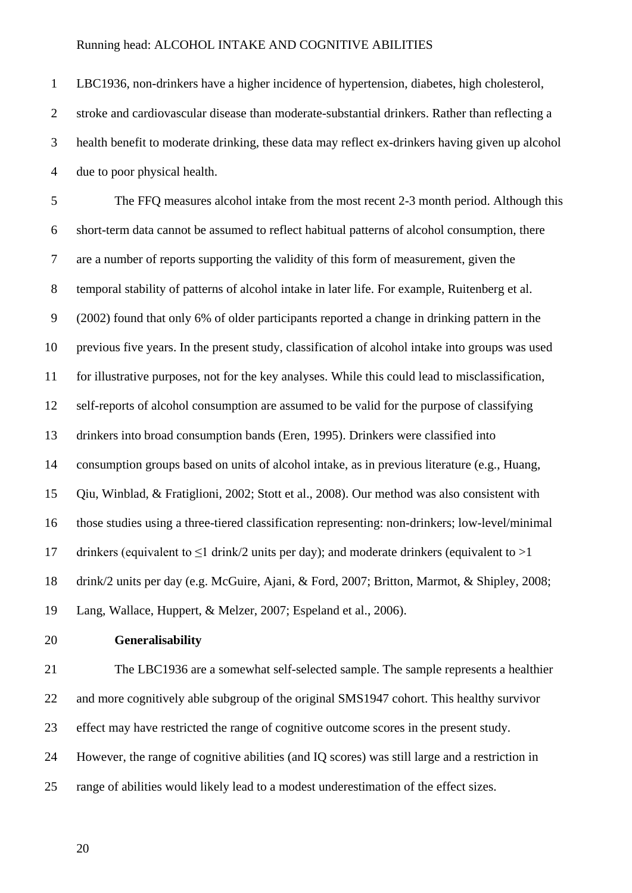LBC1936, non-drinkers have a higher incidence of hypertension, diabetes, high cholesterol, stroke and cardiovascular disease than moderate-substantial drinkers. Rather than reflecting a health benefit to moderate drinking, these data may reflect ex-drinkers having given up alcohol due to poor physical health.

 The FFQ measures alcohol intake from the most recent 2-3 month period. Although this short-term data cannot be assumed to reflect habitual patterns of alcohol consumption, there are a number of reports supporting the validity of this form of measurement, given the temporal stability of patterns of alcohol intake in later life. For example, Ruitenberg et al. (2002) found that only 6% of older participants reported a change in drinking pattern in the previous five years. In the present study, classification of alcohol intake into groups was used for illustrative purposes, not for the key analyses. While this could lead to misclassification, self-reports of alcohol consumption are assumed to be valid for the purpose of classifying drinkers into broad consumption bands (Eren, 1995). Drinkers were classified into consumption groups based on units of alcohol intake, as in previous literature (e.g., Huang, Qiu, Winblad, & Fratiglioni, 2002; Stott et al., 2008). Our method was also consistent with those studies using a three-tiered classification representing: non-drinkers; low-level/minimal 17 drinkers (equivalent to  $\leq 1$  drink/2 units per day); and moderate drinkers (equivalent to  $>1$  drink/2 units per day (e.g. McGuire, Ajani, & Ford, 2007; Britton, Marmot, & Shipley, 2008; Lang, Wallace, Huppert, & Melzer, 2007; Espeland et al., 2006).

#### **Generalisability**

 The LBC1936 are a somewhat self-selected sample. The sample represents a healthier and more cognitively able subgroup of the original SMS1947 cohort. This healthy survivor effect may have restricted the range of cognitive outcome scores in the present study. However, the range of cognitive abilities (and IQ scores) was still large and a restriction in range of abilities would likely lead to a modest underestimation of the effect sizes.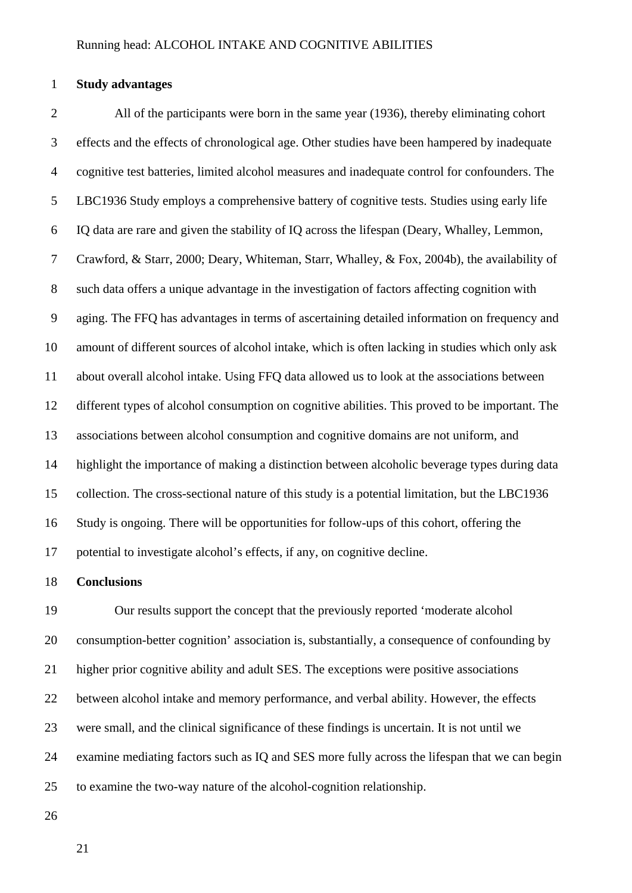#### **Study advantages**

 All of the participants were born in the same year (1936), thereby eliminating cohort effects and the effects of chronological age. Other studies have been hampered by inadequate cognitive test batteries, limited alcohol measures and inadequate control for confounders. The LBC1936 Study employs a comprehensive battery of cognitive tests. Studies using early life IQ data are rare and given the stability of IQ across the lifespan (Deary, Whalley, Lemmon, Crawford, & Starr, 2000; Deary, Whiteman, Starr, Whalley, & Fox, 2004b), the availability of such data offers a unique advantage in the investigation of factors affecting cognition with aging. The FFQ has advantages in terms of ascertaining detailed information on frequency and amount of different sources of alcohol intake, which is often lacking in studies which only ask about overall alcohol intake. Using FFQ data allowed us to look at the associations between different types of alcohol consumption on cognitive abilities. This proved to be important. The associations between alcohol consumption and cognitive domains are not uniform, and highlight the importance of making a distinction between alcoholic beverage types during data collection. The cross-sectional nature of this study is a potential limitation, but the LBC1936 Study is ongoing. There will be opportunities for follow-ups of this cohort, offering the potential to investigate alcohol's effects, if any, on cognitive decline.

#### **Conclusions**

 Our results support the concept that the previously reported 'moderate alcohol consumption-better cognition' association is, substantially, a consequence of confounding by higher prior cognitive ability and adult SES. The exceptions were positive associations between alcohol intake and memory performance, and verbal ability. However, the effects were small, and the clinical significance of these findings is uncertain. It is not until we examine mediating factors such as IQ and SES more fully across the lifespan that we can begin to examine the two-way nature of the alcohol-cognition relationship.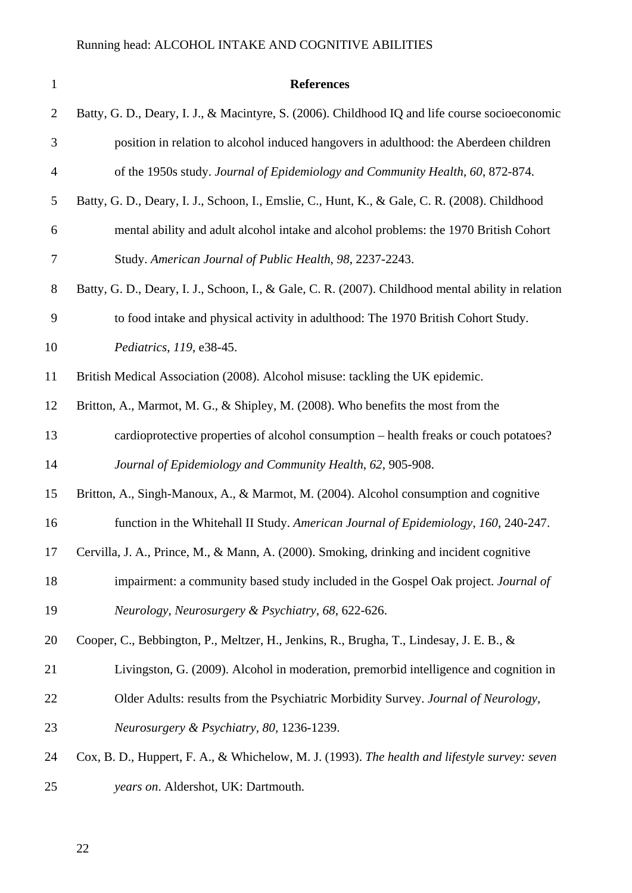| $\mathbf{1}$   | <b>References</b>                                                                                  |
|----------------|----------------------------------------------------------------------------------------------------|
| 2              | Batty, G. D., Deary, I. J., & Macintyre, S. (2006). Childhood IQ and life course socioeconomic     |
| 3              | position in relation to alcohol induced hangovers in adulthood: the Aberdeen children              |
| $\overline{4}$ | of the 1950s study. Journal of Epidemiology and Community Health, 60, 872-874.                     |
| 5              | Batty, G. D., Deary, I. J., Schoon, I., Emslie, C., Hunt, K., & Gale, C. R. (2008). Childhood      |
| 6              | mental ability and adult alcohol intake and alcohol problems: the 1970 British Cohort              |
| 7              | Study. American Journal of Public Health, 98, 2237-2243.                                           |
| $8\phantom{1}$ | Batty, G. D., Deary, I. J., Schoon, I., & Gale, C. R. (2007). Childhood mental ability in relation |
| 9              | to food intake and physical activity in adulthood: The 1970 British Cohort Study.                  |
| 10             | Pediatrics, 119, e38-45.                                                                           |
| 11             | British Medical Association (2008). Alcohol misuse: tackling the UK epidemic.                      |
| 12             | Britton, A., Marmot, M. G., & Shipley, M. (2008). Who benefits the most from the                   |
| 13             | cardioprotective properties of alcohol consumption – health freaks or couch potatoes?              |
| 14             | Journal of Epidemiology and Community Health, 62, 905-908.                                         |
| 15             | Britton, A., Singh-Manoux, A., & Marmot, M. (2004). Alcohol consumption and cognitive              |
| 16             | function in the Whitehall II Study. American Journal of Epidemiology, 160, 240-247.                |
| 17             | Cervilla, J. A., Prince, M., & Mann, A. (2000). Smoking, drinking and incident cognitive           |
| 18             | impairment: a community based study included in the Gospel Oak project. Journal of                 |
| 19             | Neurology, Neurosurgery & Psychiatry, 68, 622-626.                                                 |
| 20             | Cooper, C., Bebbington, P., Meltzer, H., Jenkins, R., Brugha, T., Lindesay, J. E. B., &            |
| 21             | Livingston, G. (2009). Alcohol in moderation, premorbid intelligence and cognition in              |
| 22             | Older Adults: results from the Psychiatric Morbidity Survey. Journal of Neurology,                 |
| 23             | Neurosurgery & Psychiatry, 80, 1236-1239.                                                          |
| 24             | Cox, B. D., Huppert, F. A., & Whichelow, M. J. (1993). The health and lifestyle survey: seven      |
| 25             | years on. Aldershot, UK: Dartmouth.                                                                |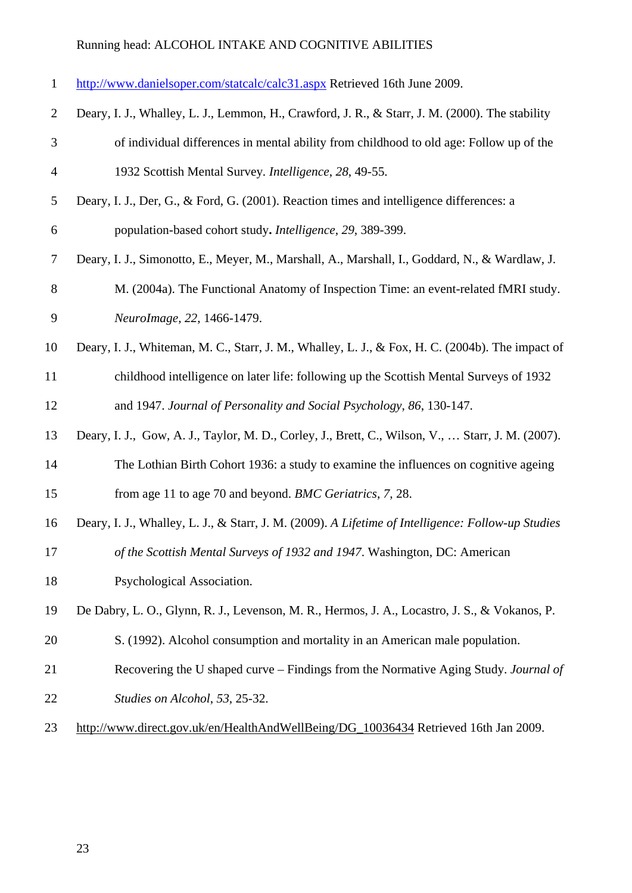|  | http://www.danielsoper.com/statcalc/calc31.aspx Retrieved 16th June 2009. |
|--|---------------------------------------------------------------------------|
|  |                                                                           |

- Deary, I. J., Whalley, L. J., Lemmon, H., Crawford, J. R., & Starr, J. M. (2000). The stability of individual differences in mental ability from childhood to old age: Follow up of the 1932 Scottish Mental Survey*. Intelligence*, *28*, 49-55.
- Deary, I. J., Der, G., & Ford, G. (2001). Reaction times and intelligence differences: a population-based cohort study**.** *Intelligence*, *29*, 389-399.
- Deary, I. J., Simonotto, E., Meyer, M., Marshall, A., Marshall, I., Goddard, N., & Wardlaw, J.
- M. (2004a). The Functional Anatomy of Inspection Time: an event-related fMRI study. *NeuroImage*, *22*, 1466-1479.
- Deary, I. J., Whiteman, M. C., Starr, J. M., Whalley, L. J., & Fox, H. C. (2004b). The impact of childhood intelligence on later life: following up the Scottish Mental Surveys of 1932 and 1947. *Journal of Personality and Social Psychology*, *86*, 130-147.

Deary, I. J., Gow, A. J., Taylor, M. D., Corley, J., Brett, C., Wilson, V., … Starr, J. M. (2007).

- The Lothian Birth Cohort 1936: a study to examine the influences on cognitive ageing from age 11 to age 70 and beyond. *BMC Geriatrics*, *7*, 28.
- Deary, I. J., Whalley, L. J., & Starr, J. M. (2009). *A Lifetime of Intelligence: Follow-up Studies*
- *of the Scottish Mental Surveys of 1932 and 1947*. Washington, DC: American
- Psychological Association.
- De Dabry, L. O., Glynn, R. J., Levenson, M. R., Hermos, J. A., Locastro, J. S., & Vokanos, P.
- S. (1992). Alcohol consumption and mortality in an American male population.
- Recovering the U shaped curve Findings from the Normative Aging Study. *Journal of Studies on Alcohol*, *53*, 25-32.
- [http://www.direct.gov.uk/en/HealthAndWellBeing/DG\\_10036434](http://www.direct.gov.uk/en/HealthAndWellBeing/DG_10036434) Retrieved 16th Jan 2009.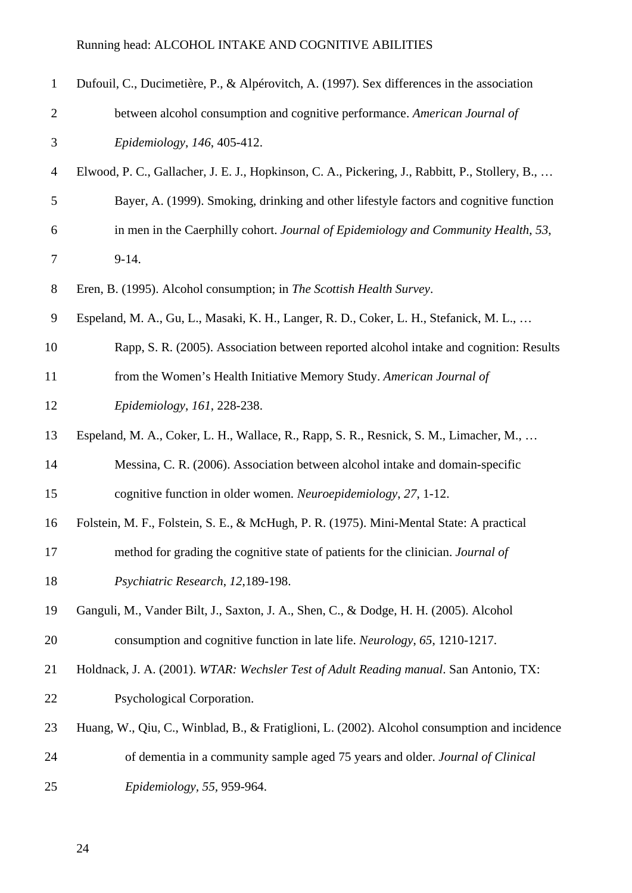| $\mathbf{1}$   | Dufouil, C., Ducimetière, P., & Alpérovitch, A. (1997). Sex differences in the association      |
|----------------|-------------------------------------------------------------------------------------------------|
| $\mathbf{2}$   | between alcohol consumption and cognitive performance. American Journal of                      |
| $\mathfrak{Z}$ | Epidemiology, 146, 405-412.                                                                     |
| $\overline{4}$ | Elwood, P. C., Gallacher, J. E. J., Hopkinson, C. A., Pickering, J., Rabbitt, P., Stollery, B., |
| 5              | Bayer, A. (1999). Smoking, drinking and other lifestyle factors and cognitive function          |
| 6              | in men in the Caerphilly cohort. Journal of Epidemiology and Community Health, 53,              |
| 7              | $9-14.$                                                                                         |
| $8\,$          | Eren, B. (1995). Alcohol consumption; in The Scottish Health Survey.                            |
| 9              | Espeland, M. A., Gu, L., Masaki, K. H., Langer, R. D., Coker, L. H., Stefanick, M. L.,          |
| 10             | Rapp, S. R. (2005). Association between reported alcohol intake and cognition: Results          |
| 11             | from the Women's Health Initiative Memory Study. American Journal of                            |
| 12             | Epidemiology, 161, 228-238.                                                                     |
| 13             | Espeland, M. A., Coker, L. H., Wallace, R., Rapp, S. R., Resnick, S. M., Limacher, M.,          |
| 14             | Messina, C. R. (2006). Association between alcohol intake and domain-specific                   |
| 15             | cognitive function in older women. Neuroepidemiology, 27, 1-12.                                 |
| 16             | Folstein, M. F., Folstein, S. E., & McHugh, P. R. (1975). Mini-Mental State: A practical        |
| 17             | method for grading the cognitive state of patients for the clinician. Journal of                |
| 18             | Psychiatric Research, 12,189-198.                                                               |
| 19             | Ganguli, M., Vander Bilt, J., Saxton, J. A., Shen, C., & Dodge, H. H. (2005). Alcohol           |
| 20             | consumption and cognitive function in late life. Neurology, 65, 1210-1217.                      |
| 21             | Holdnack, J. A. (2001). WTAR: Wechsler Test of Adult Reading manual. San Antonio, TX:           |
| 22             | Psychological Corporation.                                                                      |
| 23             | Huang, W., Qiu, C., Winblad, B., & Fratiglioni, L. (2002). Alcohol consumption and incidence    |
| 24             | of dementia in a community sample aged 75 years and older. Journal of Clinical                  |
| 25             | Epidemiology, 55, 959-964.                                                                      |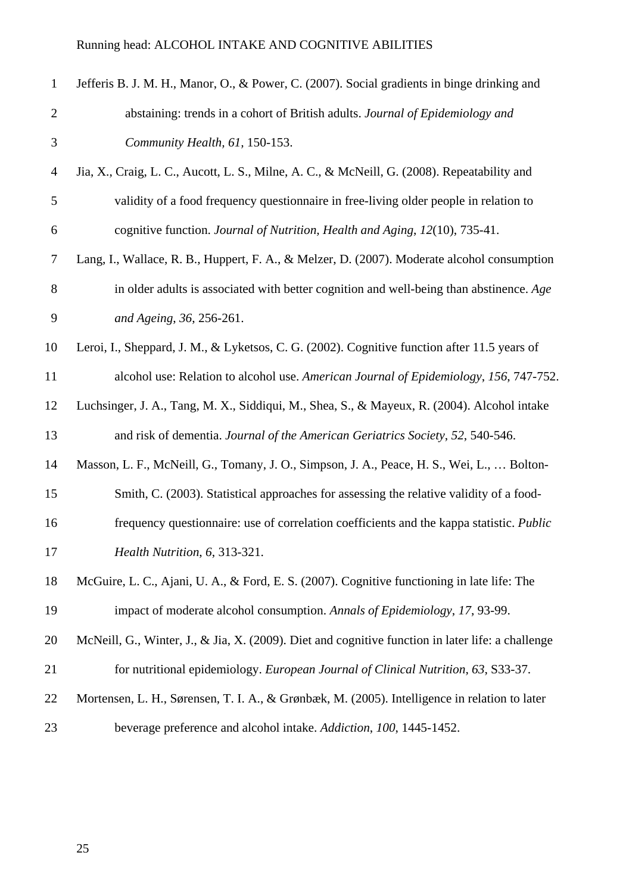| $\mathbf{1}$   | Jefferis B. J. M. H., Manor, O., & Power, C. (2007). Social gradients in binge drinking and       |
|----------------|---------------------------------------------------------------------------------------------------|
| $\mathbf{2}$   | abstaining: trends in a cohort of British adults. Journal of Epidemiology and                     |
| 3              | Community Health, 61, 150-153.                                                                    |
| $\overline{4}$ | Jia, X., Craig, L. C., Aucott, L. S., Milne, A. C., & McNeill, G. (2008). Repeatability and       |
| 5              | validity of a food frequency questionnaire in free-living older people in relation to             |
| 6              | cognitive function. Journal of Nutrition, Health and Aging, 12(10), 735-41.                       |
| 7              | Lang, I., Wallace, R. B., Huppert, F. A., & Melzer, D. (2007). Moderate alcohol consumption       |
| 8              | in older adults is associated with better cognition and well-being than abstinence. Age           |
| 9              | and Ageing, 36, 256-261.                                                                          |
| 10             | Leroi, I., Sheppard, J. M., & Lyketsos, C. G. (2002). Cognitive function after 11.5 years of      |
| 11             | alcohol use: Relation to alcohol use. American Journal of Epidemiology, 156, 747-752.             |
| 12             | Luchsinger, J. A., Tang, M. X., Siddiqui, M., Shea, S., & Mayeux, R. (2004). Alcohol intake       |
| 13             | and risk of dementia. Journal of the American Geriatrics Society, 52, 540-546.                    |
| 14             | Masson, L. F., McNeill, G., Tomany, J. O., Simpson, J. A., Peace, H. S., Wei, L.,  Bolton-        |
| 15             | Smith, C. (2003). Statistical approaches for assessing the relative validity of a food-           |
| 16             | frequency questionnaire: use of correlation coefficients and the kappa statistic. Public          |
| 17             | Health Nutrition, 6, 313-321.                                                                     |
| 18             | McGuire, L. C., Ajani, U. A., & Ford, E. S. (2007). Cognitive functioning in late life: The       |
| 19             | impact of moderate alcohol consumption. Annals of Epidemiology, 17, 93-99.                        |
| 20             | McNeill, G., Winter, J., & Jia, X. (2009). Diet and cognitive function in later life: a challenge |
| 21             | for nutritional epidemiology. European Journal of Clinical Nutrition, 63, S33-37.                 |
| 22             | Mortensen, L. H., Sørensen, T. I. A., & Grønbæk, M. (2005). Intelligence in relation to later     |
| 23             | beverage preference and alcohol intake. Addiction, 100, 1445-1452.                                |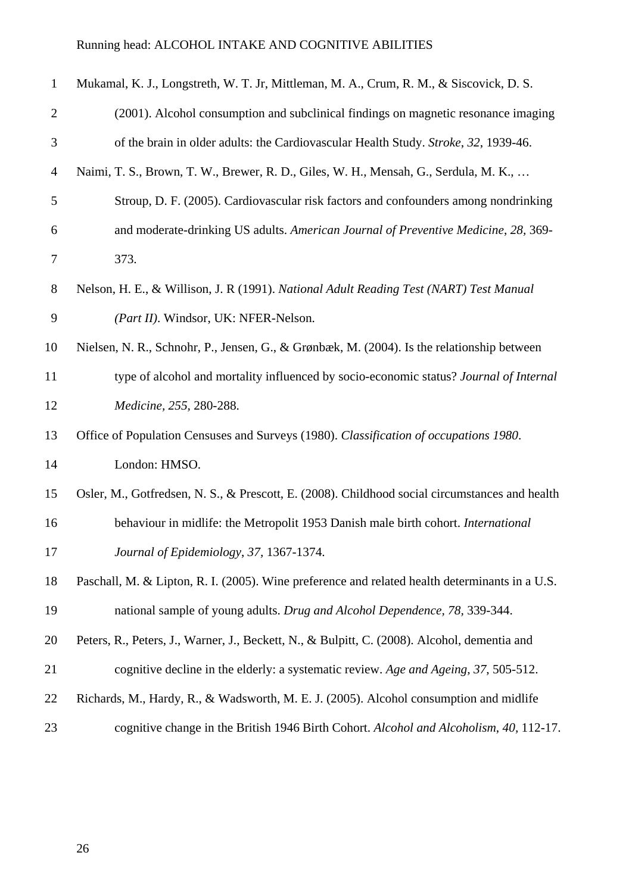| $\mathbf{1}$   | Mukamal, K. J., Longstreth, W. T. Jr, Mittleman, M. A., Crum, R. M., & Siscovick, D. S.        |
|----------------|------------------------------------------------------------------------------------------------|
| $\overline{2}$ | (2001). Alcohol consumption and subclinical findings on magnetic resonance imaging             |
| 3              | of the brain in older adults: the Cardiovascular Health Study. Stroke, 32, 1939-46.            |
| $\overline{4}$ | Naimi, T. S., Brown, T. W., Brewer, R. D., Giles, W. H., Mensah, G., Serdula, M. K.,           |
| $\mathfrak{S}$ | Stroup, D. F. (2005). Cardiovascular risk factors and confounders among nondrinking            |
| 6              | and moderate-drinking US adults. American Journal of Preventive Medicine, 28, 369-             |
| $\tau$         | 373.                                                                                           |
| $8\phantom{1}$ | Nelson, H. E., & Willison, J. R (1991). National Adult Reading Test (NART) Test Manual         |
| 9              | (Part II). Windsor, UK: NFER-Nelson.                                                           |
| 10             | Nielsen, N. R., Schnohr, P., Jensen, G., & Grønbæk, M. (2004). Is the relationship between     |
| 11             | type of alcohol and mortality influenced by socio-economic status? Journal of Internal         |
| 12             | Medicine, 255, 280-288.                                                                        |
| 13             | Office of Population Censuses and Surveys (1980). Classification of occupations 1980.          |
| 14             | London: HMSO.                                                                                  |
| 15             | Osler, M., Gotfredsen, N. S., & Prescott, E. (2008). Childhood social circumstances and health |
| 16             | behaviour in midlife: the Metropolit 1953 Danish male birth cohort. International              |
| 17             | Journal of Epidemiology, 37, 1367-1374.                                                        |
| 18             | Paschall, M. & Lipton, R. I. (2005). Wine preference and related health determinants in a U.S. |
| 19             | national sample of young adults. Drug and Alcohol Dependence, 78, 339-344.                     |
| 20             | Peters, R., Peters, J., Warner, J., Beckett, N., & Bulpitt, C. (2008). Alcohol, dementia and   |
| 21             | cognitive decline in the elderly: a systematic review. Age and Ageing, 37, 505-512.            |
| 22             | Richards, M., Hardy, R., & Wadsworth, M. E. J. (2005). Alcohol consumption and midlife         |
| 23             | cognitive change in the British 1946 Birth Cohort. Alcohol and Alcoholism, 40, 112-17.         |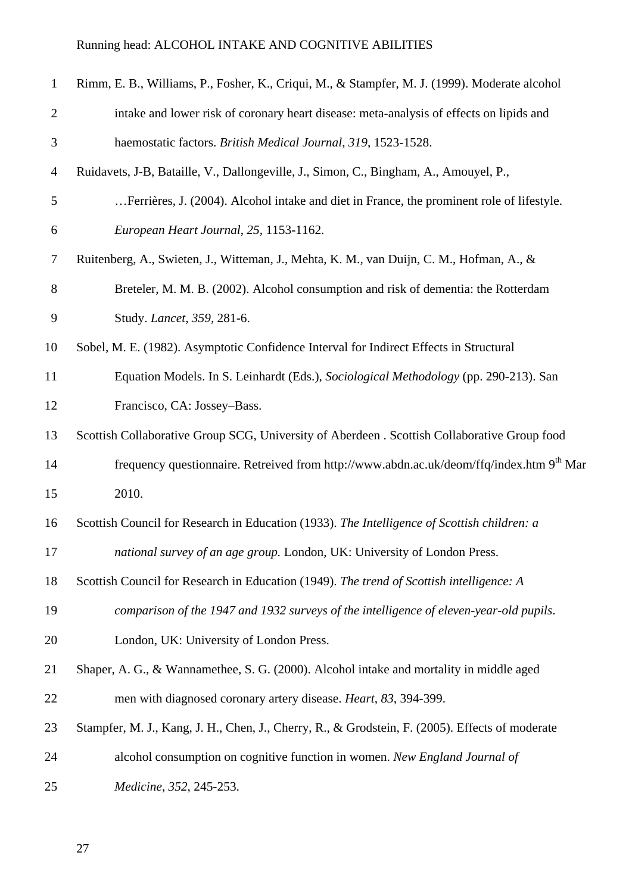| $\mathbf{1}$   | Rimm, E. B., Williams, P., Fosher, K., Criqui, M., & Stampfer, M. J. (1999). Moderate alcohol        |
|----------------|------------------------------------------------------------------------------------------------------|
| $\mathfrak{2}$ | intake and lower risk of coronary heart disease: meta-analysis of effects on lipids and              |
| 3              | haemostatic factors. British Medical Journal, 319, 1523-1528.                                        |
| $\overline{4}$ | Ruidavets, J-B, Bataille, V., Dallongeville, J., Simon, C., Bingham, A., Amouyel, P.,                |
| 5              | Ferrières, J. (2004). Alcohol intake and diet in France, the prominent role of lifestyle.            |
| 6              | European Heart Journal, 25, 1153-1162.                                                               |
| $\tau$         | Ruitenberg, A., Swieten, J., Witteman, J., Mehta, K. M., van Duijn, C. M., Hofman, A., &             |
| 8              | Breteler, M. M. B. (2002). Alcohol consumption and risk of dementia: the Rotterdam                   |
| 9              | Study. <i>Lancet</i> , 359, 281-6.                                                                   |
| 10             | Sobel, M. E. (1982). Asymptotic Confidence Interval for Indirect Effects in Structural               |
| 11             | Equation Models. In S. Leinhardt (Eds.), Sociological Methodology (pp. 290-213). San                 |
| 12             | Francisco, CA: Jossey-Bass.                                                                          |
| 13             | Scottish Collaborative Group SCG, University of Aberdeen . Scottish Collaborative Group food         |
| 14             | frequency questionnaire. Retreived from http://www.abdn.ac.uk/deom/ffq/index.htm 9 <sup>th</sup> Mar |
| 15             | 2010.                                                                                                |
| 16             | Scottish Council for Research in Education (1933). The Intelligence of Scottish children: a          |
| 17             | national survey of an age group. London, UK: University of London Press.                             |
| 18             | Scottish Council for Research in Education (1949). The trend of Scottish intelligence: A             |
| 19             | comparison of the 1947 and 1932 surveys of the intelligence of eleven-year-old pupils.               |
| 20             | London, UK: University of London Press.                                                              |
| 21             | Shaper, A. G., & Wannamethee, S. G. (2000). Alcohol intake and mortality in middle aged              |
| 22             | men with diagnosed coronary artery disease. <i>Heart</i> , 83, 394-399.                              |
| 23             | Stampfer, M. J., Kang, J. H., Chen, J., Cherry, R., & Grodstein, F. (2005). Effects of moderate      |
| 24             | alcohol consumption on cognitive function in women. New England Journal of                           |
| 25             | Medicine, 352, 245-253.                                                                              |
|                |                                                                                                      |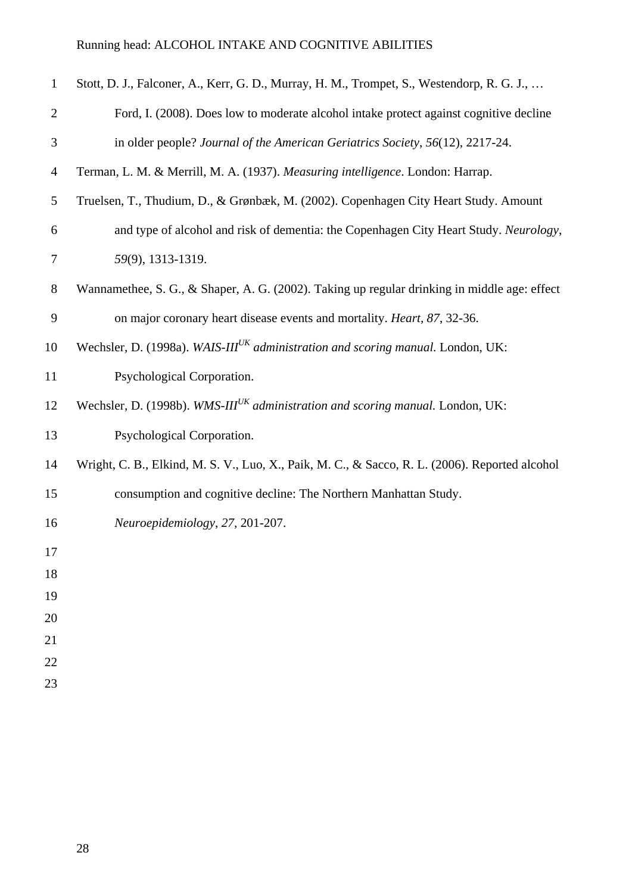| $\mathbf{1}$   | Stott, D. J., Falconer, A., Kerr, G. D., Murray, H. M., Trompet, S., Westendorp, R. G. J.,     |
|----------------|------------------------------------------------------------------------------------------------|
| $\mathbf{2}$   | Ford, I. (2008). Does low to moderate alcohol intake protect against cognitive decline         |
| 3              | in older people? Journal of the American Geriatrics Society, 56(12), 2217-24.                  |
| $\overline{4}$ | Terman, L. M. & Merrill, M. A. (1937). Measuring intelligence. London: Harrap.                 |
| 5              | Truelsen, T., Thudium, D., & Grønbæk, M. (2002). Copenhagen City Heart Study. Amount           |
| 6              | and type of alcohol and risk of dementia: the Copenhagen City Heart Study. Neurology,          |
| 7              | 59(9), 1313-1319.                                                                              |
| $8\,$          | Wannamethee, S. G., & Shaper, A. G. (2002). Taking up regular drinking in middle age: effect   |
| 9              | on major coronary heart disease events and mortality. Heart, 87, 32-36.                        |
| 10             | Wechsler, D. (1998a). WAIS-III <sup>UK</sup> administration and scoring manual. London, UK:    |
| 11             | Psychological Corporation.                                                                     |
| 12             | Wechsler, D. (1998b). WMS-III <sup>UK</sup> administration and scoring manual. London, UK:     |
| 13             | Psychological Corporation.                                                                     |
| 14             | Wright, C. B., Elkind, M. S. V., Luo, X., Paik, M. C., & Sacco, R. L. (2006). Reported alcohol |
| 15             | consumption and cognitive decline: The Northern Manhattan Study.                               |
| 16             | Neuroepidemiology, 27, 201-207.                                                                |
| 17             |                                                                                                |
| 18             |                                                                                                |
| 19             |                                                                                                |
| 20             |                                                                                                |
| 21             |                                                                                                |
| 22<br>23       |                                                                                                |
|                |                                                                                                |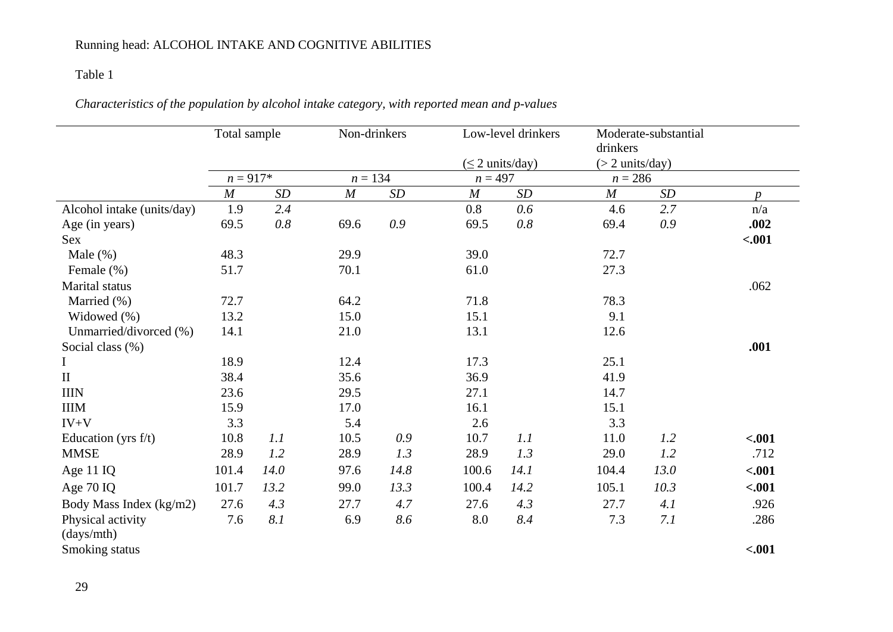### Table 1

|                                 | Total sample     |      | Non-drinkers     |      |                  | Low-level drinkers<br>$(\leq 2$ units/day) | drinkers<br>$(> 2 \text{ units/day})$ | Moderate-substantial |                  |
|---------------------------------|------------------|------|------------------|------|------------------|--------------------------------------------|---------------------------------------|----------------------|------------------|
|                                 | $n = 917*$       |      | $n = 134$        |      | $n = 497$        |                                            | $n = 286$                             |                      |                  |
|                                 | $\boldsymbol{M}$ | SD   | $\boldsymbol{M}$ | SD   | $\boldsymbol{M}$ | SD                                         | $\boldsymbol{M}$                      | SD                   | $\boldsymbol{p}$ |
| Alcohol intake (units/day)      | 1.9              | 2.4  |                  |      | 0.8              | 0.6                                        | 4.6                                   | 2.7                  | n/a              |
| Age (in years)                  | 69.5             | 0.8  | 69.6             | 0.9  | 69.5             | $0.8\,$                                    | 69.4                                  | 0.9                  | .002             |
| <b>Sex</b>                      |                  |      |                  |      |                  |                                            |                                       |                      | $-.001$          |
| Male $(\%)$                     | 48.3             |      | 29.9             |      | 39.0             |                                            | 72.7                                  |                      |                  |
| Female (%)                      | 51.7             |      | 70.1             |      | 61.0             |                                            | 27.3                                  |                      |                  |
| <b>Marital</b> status           |                  |      |                  |      |                  |                                            |                                       |                      | .062             |
| Married (%)                     | 72.7             |      | 64.2             |      | 71.8             |                                            | 78.3                                  |                      |                  |
| Widowed (%)                     | 13.2             |      | 15.0             |      | 15.1             |                                            | 9.1                                   |                      |                  |
| Unmarried/divorced (%)          | 14.1             |      | 21.0             |      | 13.1             |                                            | 12.6                                  |                      |                  |
| Social class (%)                |                  |      |                  |      |                  |                                            |                                       |                      | .001             |
|                                 | 18.9             |      | 12.4             |      | 17.3             |                                            | 25.1                                  |                      |                  |
| $\mathbf{I}$                    | 38.4             |      | 35.6             |      | 36.9             |                                            | 41.9                                  |                      |                  |
| <b>IIIN</b>                     | 23.6             |      | 29.5             |      | 27.1             |                                            | 14.7                                  |                      |                  |
| <b>IIIM</b>                     | 15.9             |      | 17.0             |      | 16.1             |                                            | 15.1                                  |                      |                  |
| $IV+V$                          | 3.3              |      | 5.4              |      | 2.6              |                                            | 3.3                                   |                      |                  |
| Education (yrs $f/t$ )          | 10.8             | 1.1  | 10.5             | 0.9  | 10.7             | 1.1                                        | 11.0                                  | 1.2                  | $-.001$          |
| <b>MMSE</b>                     | 28.9             | 1.2  | 28.9             | 1.3  | 28.9             | 1.3                                        | 29.0                                  | 1.2                  | .712             |
| Age 11 IQ                       | 101.4            | 14.0 | 97.6             | 14.8 | 100.6            | 14.1                                       | 104.4                                 | 13.0                 | $-.001$          |
| Age 70 IQ                       | 101.7            | 13.2 | 99.0             | 13.3 | 100.4            | 14.2                                       | 105.1                                 | 10.3                 | $-.001$          |
| Body Mass Index (kg/m2)         | 27.6             | 4.3  | 27.7             | 4.7  | 27.6             | 4.3                                        | 27.7                                  | 4.1                  | .926             |
| Physical activity<br>(days/mth) | 7.6              | 8.1  | 6.9              | 8.6  | 8.0              | 8.4                                        | 7.3                                   | 7.1                  | .286             |
| Smoking status                  |                  |      |                  |      |                  |                                            |                                       |                      | $-.001$          |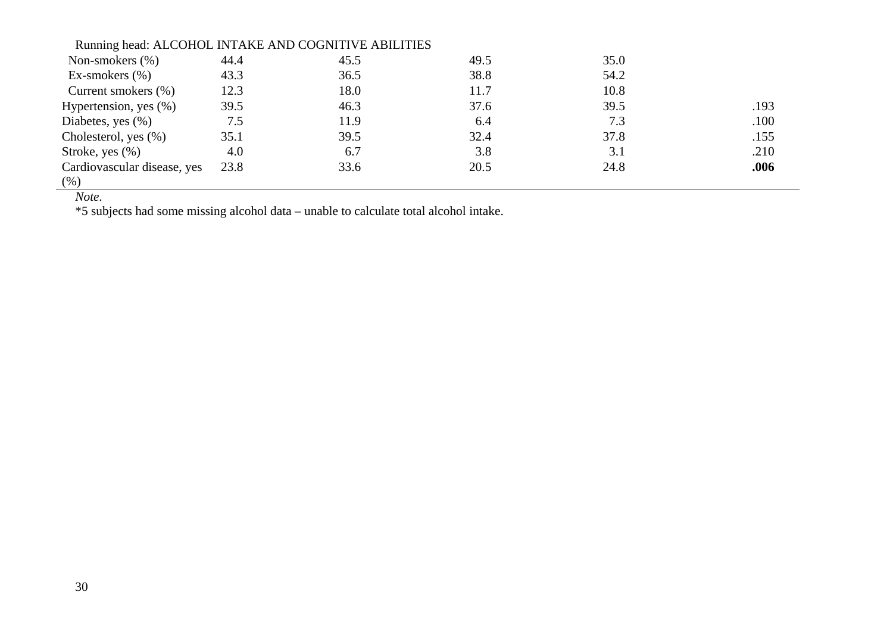| Running head: ALCOHOL INTAKE AND COGNITIVE ABILITIES |      |      |      |      |      |
|------------------------------------------------------|------|------|------|------|------|
| Non-smokers $(\%)$                                   | 44.4 | 45.5 | 49.5 | 35.0 |      |
| Ex-smokers $(\% )$                                   | 43.3 | 36.5 | 38.8 | 54.2 |      |
| Current smokers (%)                                  | 12.3 | 18.0 | 11.7 | 10.8 |      |
| Hypertension, yes $(\% )$                            | 39.5 | 46.3 | 37.6 | 39.5 | .193 |
| Diabetes, yes $(\% )$                                | 7.5  | 11.9 | 6.4  | 7.3  | .100 |
| Cholesterol, yes $(\%)$                              | 35.1 | 39.5 | 32.4 | 37.8 | .155 |
| Stroke, yes $(\%)$                                   | 4.0  | 6.7  | 3.8  | 3.1  | .210 |
| Cardiovascular disease, yes                          | 23.8 | 33.6 | 20.5 | 24.8 | .006 |
| (% )                                                 |      |      |      |      |      |

*Note.*

\*5 subjects had some missing alcohol data – unable to calculate total alcohol intake.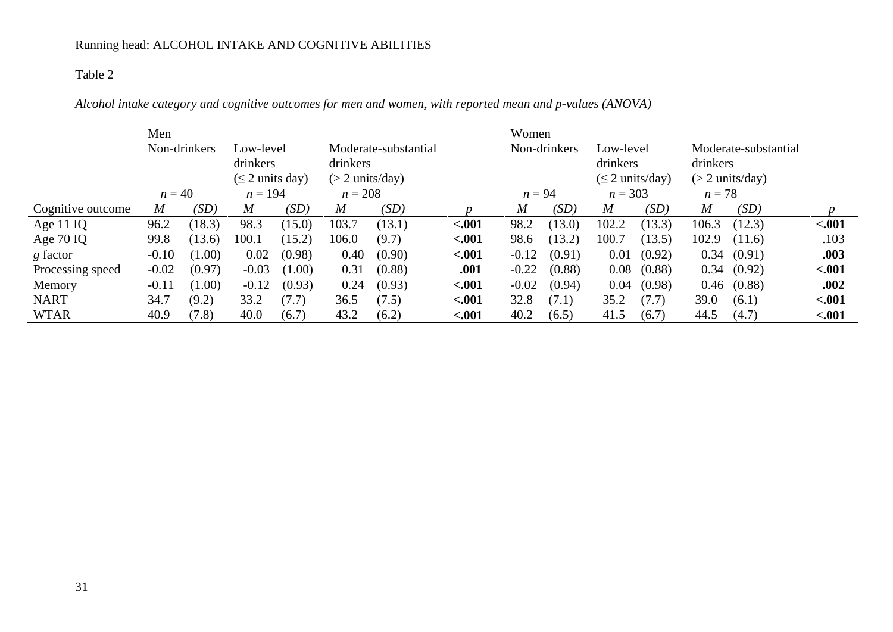### Table 2

*Alcohol intake category and cognitive outcomes for men and women, with reported mean and p-values (ANOVA)*

|                   | Men                       |        |                      |                      |                           |        |              | Women    |           |                      |                      |                           |            |         |
|-------------------|---------------------------|--------|----------------------|----------------------|---------------------------|--------|--------------|----------|-----------|----------------------|----------------------|---------------------------|------------|---------|
|                   | Non-drinkers<br>Low-level |        |                      | Moderate-substantial |                           |        | Non-drinkers |          | Low-level |                      | Moderate-substantial |                           |            |         |
|                   |                           |        | drinkers             |                      | drinkers                  |        |              |          |           | drinkers             |                      | drinkers                  |            |         |
|                   |                           |        | $(\leq 2$ units day) |                      | $(> 2 \text{ units/day})$ |        |              |          |           | $(\leq 2$ units/day) |                      | $(> 2 \text{ units/day})$ |            |         |
|                   | $n = 40$                  |        | $n = 194$            |                      | $n = 208$                 |        |              | $n = 94$ |           | $n = 303$            |                      | $n=78$                    |            |         |
| Cognitive outcome | $\overline{M}$            | (SD)   | $\boldsymbol{M}$     | (SD)                 | $\boldsymbol{M}$          | (SD)   |              | M        | (SD)      | $\boldsymbol{M}$     | (SD)                 | $\boldsymbol{M}$          | (SD)       |         |
| Age 11 IQ         | 96.2                      | (18.3) | 98.3                 | (15.0)               | 103.7                     | (13.1) | $-.001$      | 98.2     | (13.0)    | 102.2                | (13.3)               | 106.3                     | (12.3)     | $-.001$ |
| Age 70 IQ         | 99.8                      | (13.6) | 100.1                | (15.2)               | 106.0                     | (9.7)  | $-.001$      | 98.6     | (13.2)    | 100.7                | (13.5)               | 102.9                     | (11.6)     | .103    |
| g factor          | $-0.10$                   | (1.00) | 0.02                 | (0.98)               | 0.40                      | (0.90) | $-.001$      | $-0.12$  | (0.91)    | 0.01                 | (0.92)               |                           | 0.34(0.91) | .003    |
| Processing speed  | $-0.02$                   | (0.97) | $-0.03$              | (1.00)               | 0.31                      | (0.88) | .001         | $-0.22$  | (0.88)    | 0.08                 | (0.88)               | 0.34                      | (0.92)     | $-.001$ |
| Memory            | $-0.11$                   | (1.00) | $-0.12$              | (0.93)               | 0.24                      | (0.93) | $-.001$      | $-0.02$  | (0.94)    | 0.04                 | (0.98)               | 0.46                      | (0.88)     | .002    |
| <b>NART</b>       | 34.7                      | (9.2)  | 33.2                 | (7.7)                | 36.5                      | (7.5)  | $-.001$      | 32.8     | (7.1)     | 35.2                 | (7.7)                | 39.0                      | (6.1)      | $-.001$ |
| <b>WTAR</b>       | 40.9                      | (7.8)  | 40.0                 | (6.7)                | 43.2                      | (6.2)  | $-.001$      | 40.2     | (6.5)     | 41.5                 | (6.7)                | 44.5                      | (4.7)      | $-.001$ |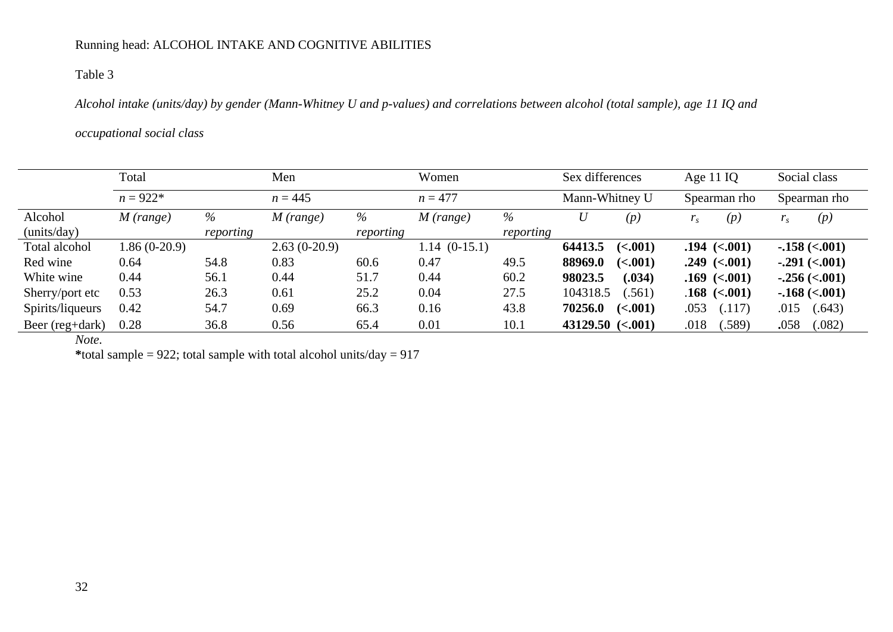### Table 3

*Alcohol intake (units/day) by gender (Mann-Whitney U and p-values) and correlations between alcohol (total sample), age 11 IQ and* 

#### *occupational social class*

|                  | Total          |           | Men            |           | Women          |           | Sex differences       | Age $11$ IQ    | Social class     |  |
|------------------|----------------|-----------|----------------|-----------|----------------|-----------|-----------------------|----------------|------------------|--|
|                  | $n = 922*$     |           | $n = 445$      |           | $n = 477$      |           | Mann-Whitney U        | Spearman rho   | Spearman rho     |  |
| Alcohol          | $M$ (range)    | %         | $M$ (range)    | %         | $M$ (range)    | %         | U<br>(p)              | (p)            | (p)<br>$r_{s}$   |  |
| (units/day)      |                | reporting |                | reporting |                | reporting |                       |                |                  |  |
| Total alcohol    | $1.86(0-20.9)$ |           | $2.63(0-20.9)$ |           | $1.14(0-15.1)$ |           | 64413.5<br>(<.001)    | $.194$ (<.001) | $-.158 (< 0.01)$ |  |
| Red wine         | 0.64           | 54.8      | 0.83           | 60.6      | 0.47           | 49.5      | 88969.0<br>(<.001)    | $.249$ (<.001) | $-.291 (< 001)$  |  |
| White wine       | 0.44           | 56.1      | 0.44           | 51.7      | 0.44           | 60.2      | 98023.5<br>(.034)     | $.169$ (<.001) | $-.256 (< 001)$  |  |
| Sherry/port etc  | 0.53           | 26.3      | 0.61           | 25.2      | 0.04           | 27.5      | 104318.5<br>(.561)    | $.168$ (<.001) | $-.168 (< 001)$  |  |
| Spirits/liqueurs | 0.42           | 54.7      | 0.69           | 66.3      | 0.16           | 43.8      | 70256.0<br>(<.001)    | .053<br>(.117) | (.643)<br>.015   |  |
| Beer (reg+dark)  | 0.28           | 36.8      | 0.56           | 65.4      | 0.01           | 10.1      | $43129.50$ $(< .001)$ | .018<br>(.589) | .058<br>(.082)   |  |

*Note.*

\*total sample = 922; total sample with total alcohol units/ $day = 917$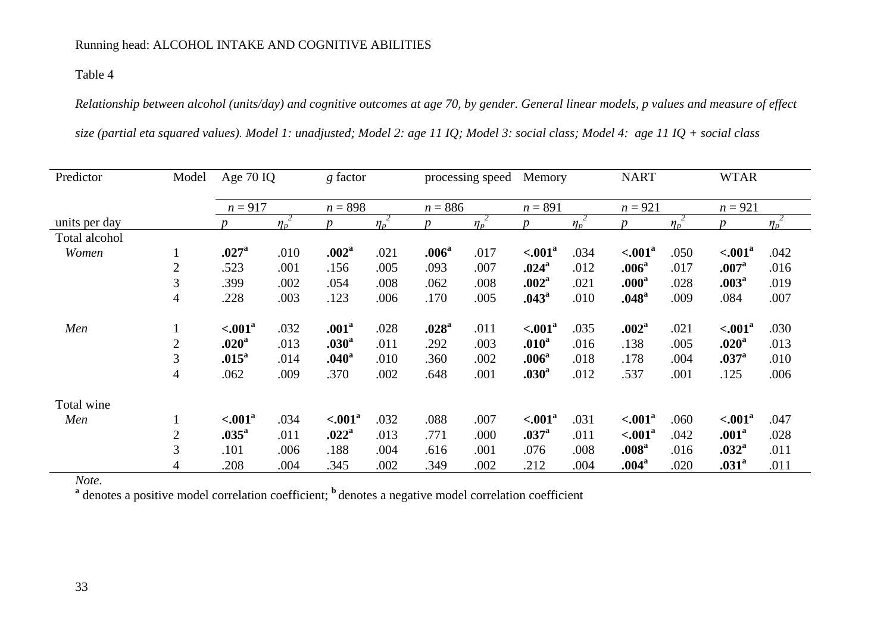### Table 4

*Relationship between alcohol (units/day) and cognitive outcomes at age 70, by gender. General linear models, p values and measure of effect* 

|  |  |  | size (partial eta squared values). Model 1: unadjusted; Model 2: age 11 IQ; Model 3: social class; Model 4: age 11 IQ + social class |  |  |  |  |  |  |
|--|--|--|--------------------------------------------------------------------------------------------------------------------------------------|--|--|--|--|--|--|
|--|--|--|--------------------------------------------------------------------------------------------------------------------------------------|--|--|--|--|--|--|

| Predictor     | Model          | Age 70 IQ           |                       |                   | g factor |                   | processing speed |                      | Memory     |                   | <b>NART</b> |                    |                       |
|---------------|----------------|---------------------|-----------------------|-------------------|----------|-------------------|------------------|----------------------|------------|-------------------|-------------|--------------------|-----------------------|
|               |                | $n = 917$           |                       | $n = 898$         |          | $n = 886$         |                  | $n = 891$            |            | $n = 921$         |             | $n = 921$          |                       |
| units per day |                |                     | $\eta_p$ <sup>2</sup> | n                 | $\eta_p$ |                   | $\eta_p^2$       | D                    | $\eta_p^2$ | $\boldsymbol{D}$  | $\eta_p^2$  |                    | $\eta_p$ <sup>2</sup> |
| Total alcohol |                |                     |                       |                   |          |                   |                  |                      |            |                   |             |                    |                       |
| Women         | $\perp$        | .027 <sup>a</sup>   | .010                  | .002 <sup>a</sup> | .021     | .006 <sup>a</sup> | .017             | $< .001^a$           | .034       | $\sim 001^a$      | .050        | $< .001^a$         | .042                  |
|               | $\mathbf{2}$   | .523                | .001                  | .156              | .005     | .093              | .007             | .024 <sup>a</sup>    | .012       | .006 <sup>a</sup> | .017        | .007 <sup>a</sup>  | .016                  |
|               | 3              | .399                | .002                  | .054              | .008     | .062              | .008             | .002 <sup>a</sup>    | .021       | .000 <sup>a</sup> | .028        | .003 <sup>a</sup>  | .019                  |
|               | $\overline{4}$ | .228                | .003                  | .123              | .006     | .170              | .005             | .043 <sup>a</sup>    | .010       | .048 <sup>a</sup> | .009        | .084               | .007                  |
| Men           | $\mathbf{I}$   | $\leq 0.01^a$       | .032                  | .001 <sup>a</sup> | .028     | .028 <sup>a</sup> | .011             | $\leq 0.01^a$        | .035       | .002 <sup>a</sup> | .021        | $\sim 001^a$       | .030                  |
|               | $\mathbf{2}$   | .020 <sup>a</sup>   | .013                  | .030 <sup>a</sup> | .011     | .292              | .003             | .010 <sup>a</sup>    | .016       | .138              | .005        | .020 <sup>a</sup>  | .013                  |
|               | 3              | .015 <sup>a</sup>   | .014                  | .040 <sup>a</sup> | .010     | .360              | .002             | .006 <sup>a</sup>    | .018       | .178              | .004        | .037 <sup>a</sup>  | .010                  |
|               | $\overline{4}$ | .062                | .009                  | .370              | .002     | .648              | .001             | .030 <sup>a</sup>    | .012       | .537              | .001        | .125               | .006                  |
| Total wine    |                |                     |                       |                   |          |                   |                  |                      |            |                   |             |                    |                       |
| Men           | $\perp$        | < .001 <sup>a</sup> | .034                  | $\sim 001^a$      | .032     | .088              | .007             | $\leq 0.01^\text{a}$ | .031       | $\leq 0.01^a$     | .060        | $\sim 001^{\rm a}$ | .047                  |
|               | $\mathbf{2}$   | .035 <sup>a</sup>   | .011                  | .022 <sup>a</sup> | .013     | .771              | .000             | .037 <sup>a</sup>    | .011       | $\leq 0.01^a$     | .042        | .001 <sup>a</sup>  | .028                  |
|               | 3              | .101                | .006                  | .188              | .004     | .616              | .001             | .076                 | .008       | .008 <sup>a</sup> | .016        | .032 <sup>a</sup>  | .011                  |
|               | $\overline{4}$ | .208                | .004                  | .345              | .002     | .349              | .002             | .212                 | .004       | .004 <sup>a</sup> | .020        | .031 <sup>a</sup>  | .011                  |

*Note.*

<sup>a</sup> denotes a positive model correlation coefficient; <sup>b</sup> denotes a negative model correlation coefficient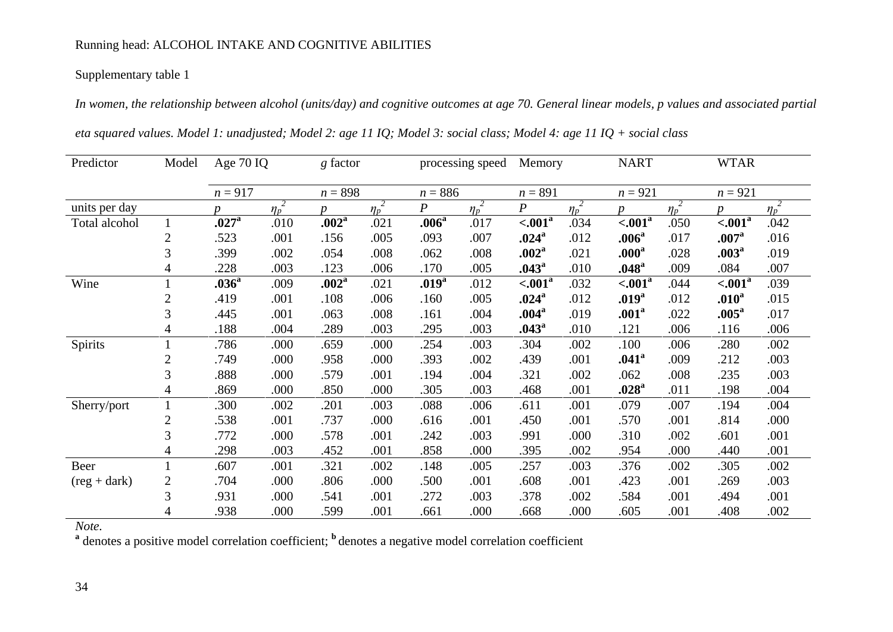### Supplementary table 1

*In women, the relationship between alcohol (units/day) and cognitive outcomes at age 70. General linear models, p values and associated partial eta squared values. Model 1: unadjusted; Model 2: age 11 IQ; Model 3: social class; Model 4: age 11 IQ + social class*

| Predictor                    | Model          | Age 70 IQ         |            | $g$ factor        |            |                   | processing speed | Memory             |            | <b>NART</b>       |            | <b>WTAR</b>        |                       |
|------------------------------|----------------|-------------------|------------|-------------------|------------|-------------------|------------------|--------------------|------------|-------------------|------------|--------------------|-----------------------|
|                              |                | $n = 917$         |            | $n = 898$         |            |                   | $n = 886$        |                    | $n = 891$  |                   | $n = 921$  |                    |                       |
| units per day                |                | n.                | $\eta_p^2$ | $\boldsymbol{n}$  | $\eta_p^2$ | $\boldsymbol{P}$  | $\eta_p^2$       | $\boldsymbol{P}$   | $\eta_p^2$ | $\boldsymbol{p}$  | $\eta_p^2$ | <sub>n</sub>       | $\eta_p$ <sup>2</sup> |
| Total alcohol                |                | .027 <sup>a</sup> | .010       | .002 <sup>a</sup> | .021       | .006 <sup>a</sup> | .017             | $< .001^a$         | .034       | $\sim 001^a$      | .050       | $\sim 001^{\rm a}$ | .042                  |
|                              | 2              | .523              | .001       | .156              | .005       | .093              | .007             | $.024^{\rm a}$     | .012       | .006 <sup>a</sup> | .017       | .007 <sup>a</sup>  | .016                  |
|                              | 3              | .399              | .002       | .054              | .008       | .062              | .008             | .002 <sup>a</sup>  | .021       | .000 <sup>a</sup> | .028       | .003 <sup>a</sup>  | .019                  |
|                              | 4              | .228              | .003       | .123              | .006       | .170              | .005             | .043 <sup>a</sup>  | .010       | .048 <sup>a</sup> | .009       | .084               | .007                  |
| Wine                         |                | .036 <sup>a</sup> | .009       | .002 <sup>a</sup> | .021       | .019 <sup>a</sup> | .012             | $\sim 001^{\rm a}$ | .032       | $\leq 0.01^a$     | .044       | $\sim 001^a$       | .039                  |
|                              | $\overline{2}$ | .419              | .001       | .108              | .006       | .160              | .005             | $.024^{\rm a}$     | .012       | .019 <sup>a</sup> | .012       | .010 <sup>a</sup>  | .015                  |
|                              | 3              | .445              | .001       | .063              | .008       | .161              | .004             | .004 <sup>a</sup>  | .019       | .001 <sup>a</sup> | .022       | .005 <sup>a</sup>  | .017                  |
|                              | 4              | .188              | .004       | .289              | .003       | .295              | .003             | .043 <sup>a</sup>  | .010       | .121              | .006       | .116               | .006                  |
| Spirits                      |                | .786              | .000       | .659              | .000       | .254              | .003             | .304               | .002       | .100              | .006       | .280               | .002                  |
|                              | 2              | .749              | .000       | .958              | .000       | .393              | .002             | .439               | .001       | .041 <sup>a</sup> | .009       | .212               | .003                  |
|                              | 3              | .888              | .000       | .579              | .001       | .194              | .004             | .321               | .002       | .062              | .008       | .235               | .003                  |
|                              | 4              | .869              | .000       | .850              | .000       | .305              | .003             | .468               | .001       | .028 <sup>a</sup> | .011       | .198               | .004                  |
| Sherry/port                  |                | .300              | .002       | .201              | .003       | .088              | .006             | .611               | .001       | .079              | .007       | .194               | .004                  |
|                              | $\overline{c}$ | .538              | .001       | .737              | .000       | .616              | .001             | .450               | .001       | .570              | .001       | .814               | .000                  |
|                              | 3              | .772              | .000       | .578              | .001       | .242              | .003             | .991               | .000       | .310              | .002       | .601               | .001                  |
|                              | 4              | .298              | .003       | .452              | .001       | .858              | .000             | .395               | .002       | .954              | .000       | .440               | .001                  |
| Beer                         |                | .607              | .001       | .321              | .002       | .148              | .005             | .257               | .003       | .376              | .002       | .305               | .002                  |
| $(\text{reg} + \text{dark})$ | $\overline{2}$ | .704              | .000       | .806              | .000       | .500              | .001             | .608               | .001       | .423              | .001       | .269               | .003                  |
|                              | 3              | .931              | .000       | .541              | .001       | .272              | .003             | .378               | .002       | .584              | .001       | .494               | .001                  |
|                              | 4              | .938              | .000       | .599              | .001       | .661              | .000             | .668               | .000       | .605              | .001       | .408               | .002                  |

*Note.*

<sup>a</sup> denotes a positive model correlation coefficient; <sup>b</sup> denotes a negative model correlation coefficient